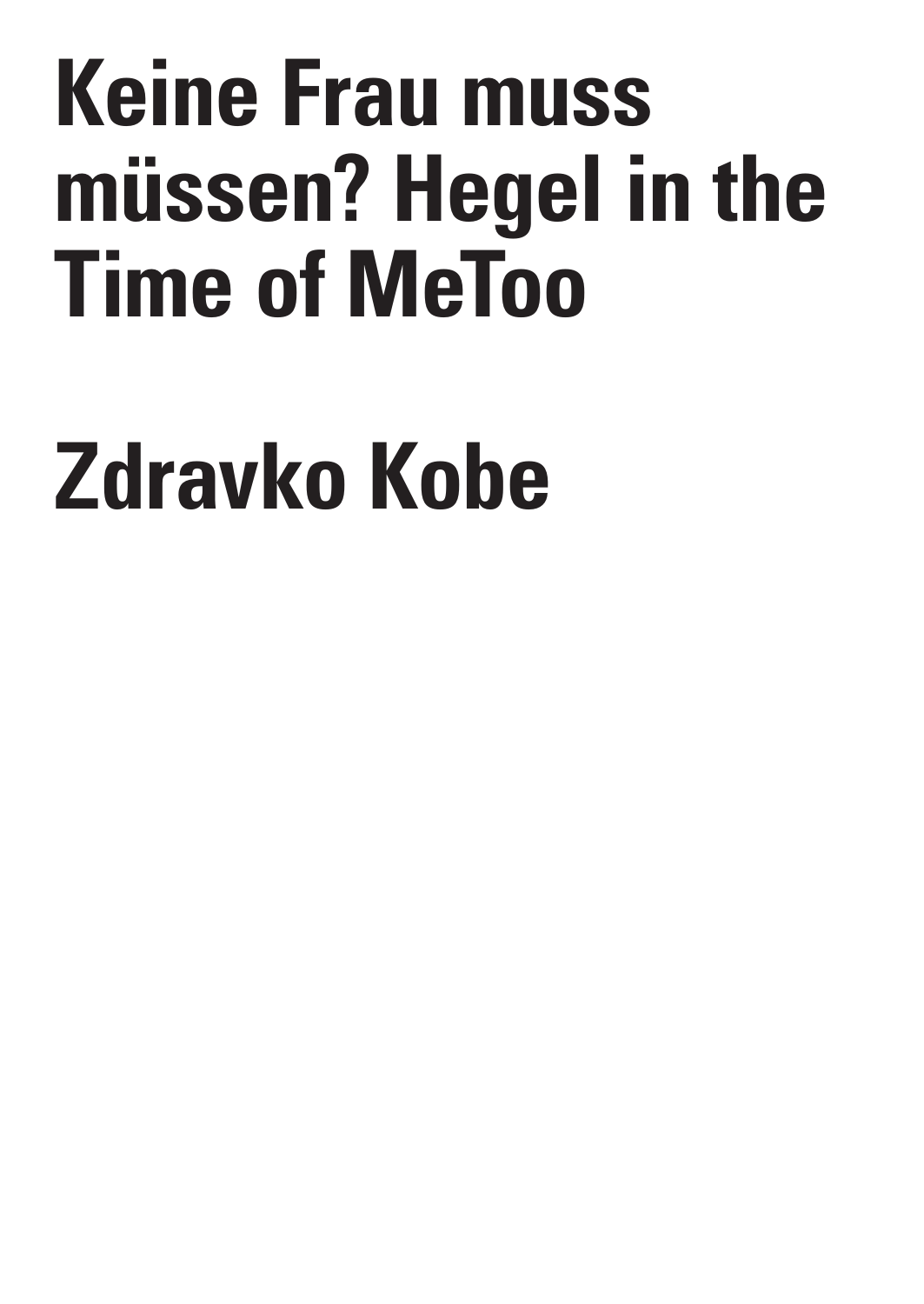## **Keine Frau muss müssen? Hegel in the Time of MeToo**

## **Zdravko Kobe**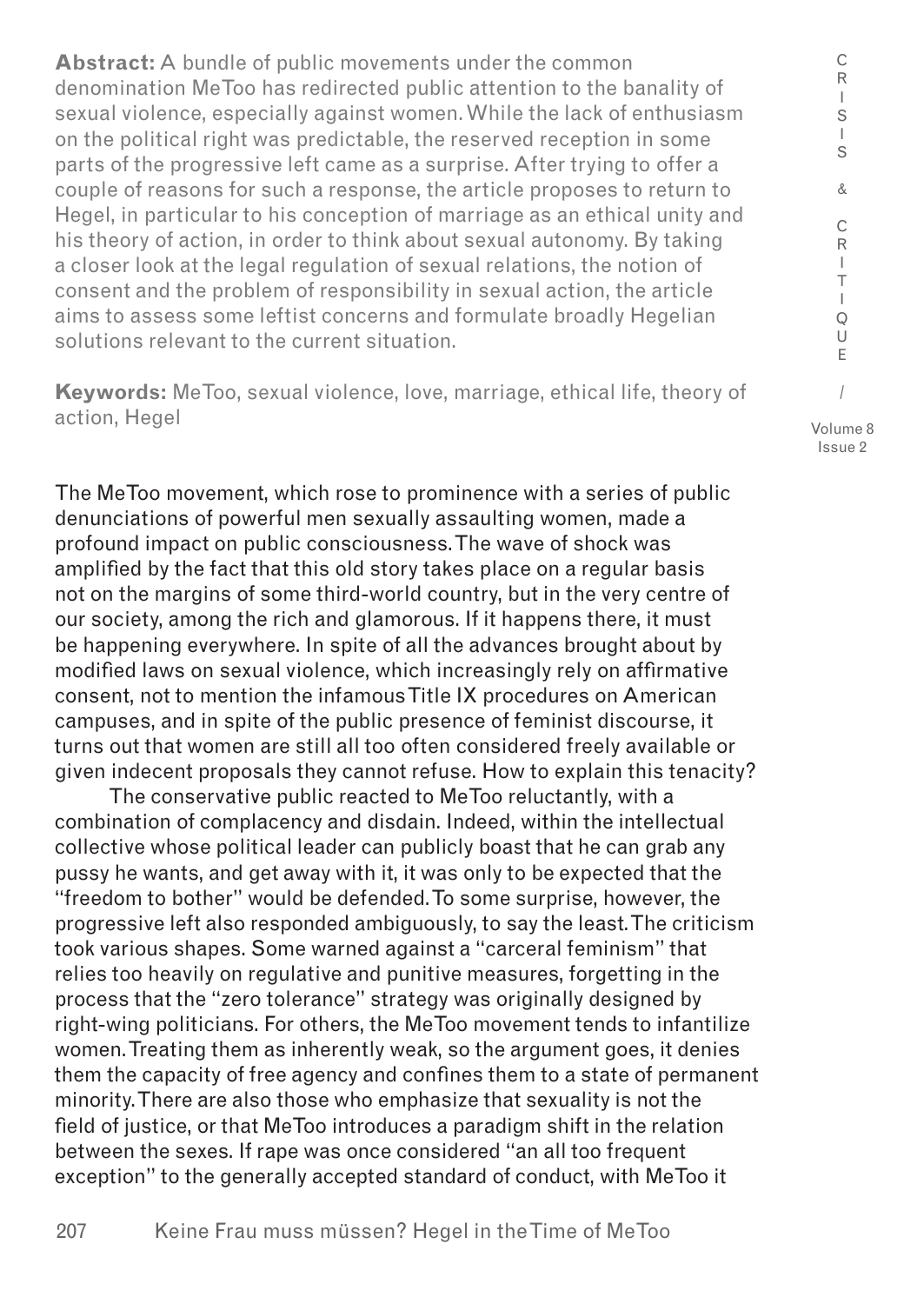**Abstract:** A bundle of public movements under the common denomination MeToo has redirected public attention to the banality of sexual violence, especially against women. While the lack of enthusiasm on the political right was predictable, the reserved reception in some parts of the progressive left came as a surprise. After trying to offer a couple of reasons for such a response, the article proposes to return to Hegel, in particular to his conception of marriage as an ethical unity and his theory of action, in order to think about sexual autonomy. By taking a closer look at the legal regulation of sexual relations, the notion of consent and the problem of responsibility in sexual action, the article aims to assess some leftist concerns and formulate broadly Hegelian solutions relevant to the current situation.

**Keywords:** MeToo, sexual violence, love, marriage, ethical life, theory of action, Hegel

The MeToo movement, which rose to prominence with a series of public denunciations of powerful men sexually assaulting women, made a profound impact on public consciousness. The wave of shock was amplified by the fact that this old story takes place on a regular basis not on the margins of some third-world country, but in the very centre of our society, among the rich and glamorous. If it happens there, it must be happening everywhere. In spite of all the advances brought about by modified laws on sexual violence, which increasingly rely on affirmative consent, not to mention the infamous Title IX procedures on American campuses, and in spite of the public presence of feminist discourse, it turns out that women are still all too often considered freely available or given indecent proposals they cannot refuse. How to explain this tenacity?

The conservative public reacted to MeToo reluctantly, with a combination of complacency and disdain. Indeed, within the intellectual collective whose political leader can publicly boast that he can grab any pussy he wants, and get away with it, it was only to be expected that the "freedom to bother" would be defended. To some surprise, however, the progressive left also responded ambiguously, to say the least. The criticism took various shapes. Some warned against a "carceral feminism" that relies too heavily on regulative and punitive measures, forgetting in the process that the "zero tolerance" strategy was originally designed by right-wing politicians. For others, the MeToo movement tends to infantilize women. Treating them as inherently weak, so the argument goes, it denies them the capacity of free agency and confines them to a state of permanent minority. There are also those who emphasize that sexuality is not the field of justice, or that MeToo introduces a paradigm shift in the relation between the sexes. If rape was once considered "an all too frequent exception" to the generally accepted standard of conduct, with MeToo it

Volume 8 Issue 2

C R I S I S & C R I T I Q U E /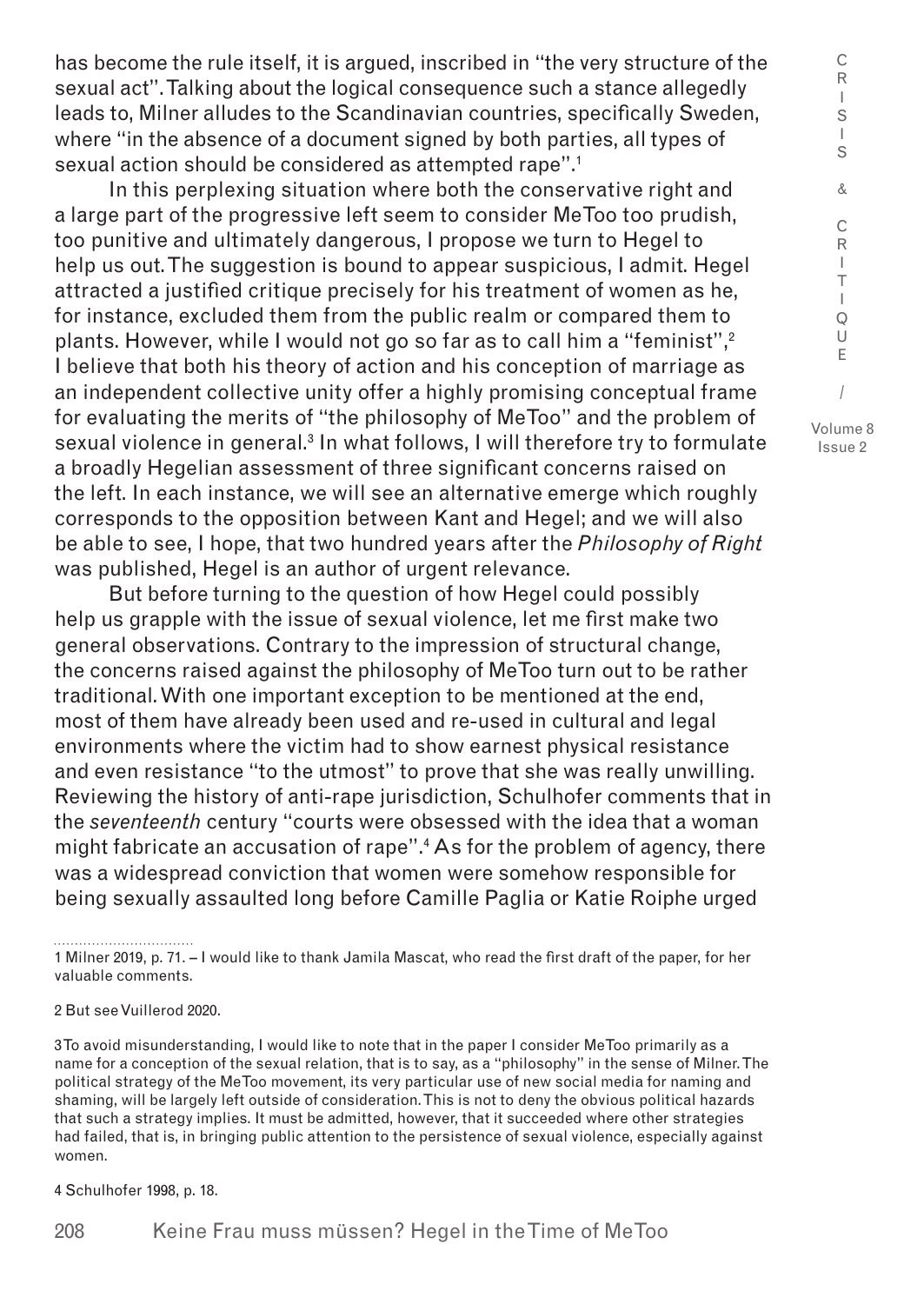has become the rule itself, it is argued, inscribed in "the very structure of the sexual act". Talking about the logical consequence such a stance allegedly leads to, Milner alludes to the Scandinavian countries, specifically Sweden, where "in the absence of a document signed by both parties, all types of sexual action should be considered as attempted rape".1

In this perplexing situation where both the conservative right and a large part of the progressive left seem to consider MeToo too prudish, too punitive and ultimately dangerous, I propose we turn to Hegel to help us out. The suggestion is bound to appear suspicious, I admit. Hegel attracted a justified critique precisely for his treatment of women as he, for instance, excluded them from the public realm or compared them to plants. However, while I would not go so far as to call him a "feminist", $2$ I believe that both his theory of action and his conception of marriage as an independent collective unity offer a highly promising conceptual frame for evaluating the merits of "the philosophy of MeToo" and the problem of sexual violence in general.<sup>3</sup> In what follows, I will therefore try to formulate a broadly Hegelian assessment of three significant concerns raised on the left. In each instance, we will see an alternative emerge which roughly corresponds to the opposition between Kant and Hegel; and we will also be able to see, I hope, that two hundred years after the *Philosophy of Right* was published, Hegel is an author of urgent relevance.

But before turning to the question of how Hegel could possibly help us grapple with the issue of sexual violence, let me first make two general observations. Contrary to the impression of structural change, the concerns raised against the philosophy of MeToo turn out to be rather traditional. With one important exception to be mentioned at the end, most of them have already been used and re-used in cultural and legal environments where the victim had to show earnest physical resistance and even resistance "to the utmost" to prove that she was really unwilling. Reviewing the history of anti-rape jurisdiction, Schulhofer comments that in the *seventeenth* century "courts were obsessed with the idea that a woman might fabricate an accusation of rape".4 As for the problem of agency, there was a widespread conviction that women were somehow responsible for being sexually assaulted long before Camille Paglia or Katie Roiphe urged

1 Milner 2019, p. 71. – I would like to thank Jamila Mascat, who read the first draft of the paper, for her valuable comments.

## 2 But see Vuillerod 2020.

3 To avoid misunderstanding, I would like to note that in the paper I consider MeToo primarily as a name for a conception of the sexual relation, that is to say, as a "philosophy" in the sense of Milner. The political strategy of the MeToo movement, its very particular use of new social media for naming and shaming, will be largely left outside of consideration. This is not to deny the obvious political hazards that such a strategy implies. It must be admitted, however, that it succeeded where other strategies had failed, that is, in bringing public attention to the persistence of sexual violence, especially against women.

4 Schulhofer 1998, p. 18.

208 Keine Frau muss müssen? Hegel in the Time of MeToo

/ Volume 8 Issue 2

C R I S  $\mathbf{I}$ S & C R I T I Q U E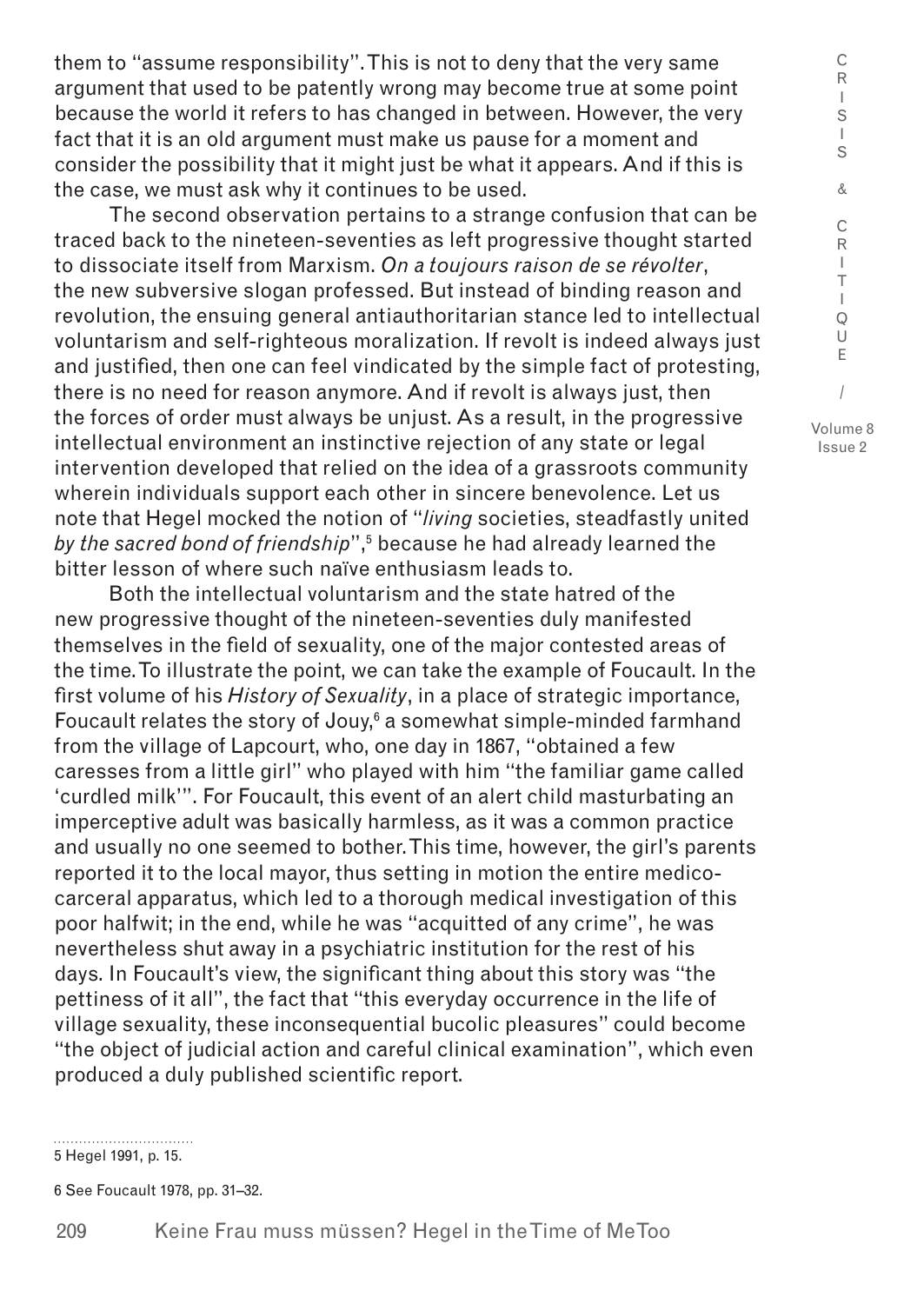them to "assume responsibility". This is not to deny that the very same argument that used to be patently wrong may become true at some point because the world it refers to has changed in between. However, the very fact that it is an old argument must make us pause for a moment and consider the possibility that it might just be what it appears. And if this is the case, we must ask why it continues to be used.

The second observation pertains to a strange confusion that can be traced back to the nineteen-seventies as left progressive thought started to dissociate itself from Marxism. *On a toujours raison de se révolter*, the new subversive slogan professed. But instead of binding reason and revolution, the ensuing general antiauthoritarian stance led to intellectual voluntarism and self-righteous moralization. If revolt is indeed always just and justified, then one can feel vindicated by the simple fact of protesting, there is no need for reason anymore. And if revolt is always just, then the forces of order must always be unjust. As a result, in the progressive intellectual environment an instinctive rejection of any state or legal intervention developed that relied on the idea of a grassroots community wherein individuals support each other in sincere benevolence. Let us note that Hegel mocked the notion of "*living* societies, steadfastly united *by the sacred bond of friendship*",<sup>5</sup> because he had already learned the bitter lesson of where such naïve enthusiasm leads to.

Both the intellectual voluntarism and the state hatred of the new progressive thought of the nineteen-seventies duly manifested themselves in the field of sexuality, one of the major contested areas of the time. To illustrate the point, we can take the example of Foucault. In the first volume of his *History of Sexuality*, in a place of strategic importance, Foucault relates the story of Jouy, $6$  a somewhat simple-minded farmhand from the village of Lapcourt, who, one day in 1867, "obtained a few caresses from a little girl" who played with him "the familiar game called 'curdled milk'". For Foucault, this event of an alert child masturbating an imperceptive adult was basically harmless, as it was a common practice and usually no one seemed to bother. This time, however, the girl's parents reported it to the local mayor, thus setting in motion the entire medicocarceral apparatus, which led to a thorough medical investigation of this poor halfwit; in the end, while he was "acquitted of any crime", he was nevertheless shut away in a psychiatric institution for the rest of his days. In Foucault's view, the significant thing about this story was "the pettiness of it all", the fact that "this everyday occurrence in the life of village sexuality, these inconsequential bucolic pleasures" could become "the object of judicial action and careful clinical examination", which even produced a duly published scientific report.

5 Hegel 1991, p. 15.

6 See Foucault 1978, pp. 31–32.

Issue 2

C R  $\mathbf{I}$ S I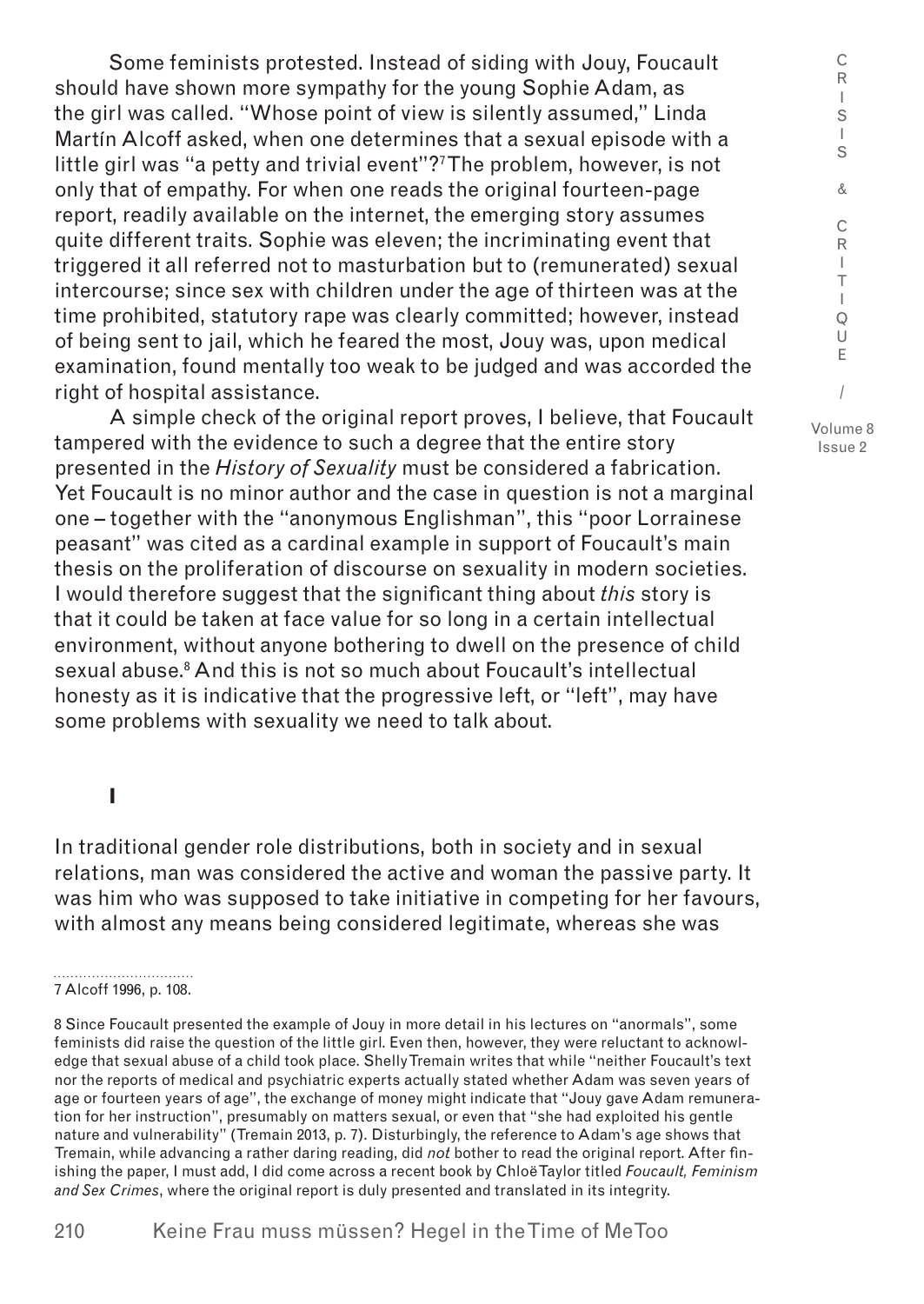Some feminists protested. Instead of siding with Jouy, Foucault should have shown more sympathy for the young Sophie Adam, as the girl was called. "Whose point of view is silently assumed," Linda Martín Alcoff asked, when one determines that a sexual episode with a little girl was "a petty and trivial event"?7 The problem, however, is not only that of empathy. For when one reads the original fourteen-page report, readily available on the internet, the emerging story assumes quite different traits. Sophie was eleven; the incriminating event that triggered it all referred not to masturbation but to (remunerated) sexual intercourse; since sex with children under the age of thirteen was at the time prohibited, statutory rape was clearly committed; however, instead of being sent to jail, which he feared the most, Jouy was, upon medical examination, found mentally too weak to be judged and was accorded the right of hospital assistance.

A simple check of the original report proves, I believe, that Foucault tampered with the evidence to such a degree that the entire story presented in the *History of Sexuality* must be considered a fabrication. Yet Foucault is no minor author and the case in question is not a marginal one – together with the "anonymous Englishman", this "poor Lorrainese peasant" was cited as a cardinal example in support of Foucault's main thesis on the proliferation of discourse on sexuality in modern societies. I would therefore suggest that the significant thing about *this* story is that it could be taken at face value for so long in a certain intellectual environment, without anyone bothering to dwell on the presence of child sexual abuse.<sup>8</sup> And this is not so much about Foucault's intellectual honesty as it is indicative that the progressive left, or "left", may have some problems with sexuality we need to talk about.

**I**

In traditional gender role distributions, both in society and in sexual relations, man was considered the active and woman the passive party. It was him who was supposed to take initiative in competing for her favours, with almost any means being considered legitimate, whereas she was

T I Q U E / Volume 8

C R I S I S & C R I

<sup>7</sup> Alcoff 1996, p. 108.

<sup>8</sup> Since Foucault presented the example of Jouy in more detail in his lectures on "anormals", some feminists did raise the question of the little girl. Even then, however, they were reluctant to acknowledge that sexual abuse of a child took place. Shelly Tremain writes that while "neither Foucault's text nor the reports of medical and psychiatric experts actually stated whether Adam was seven years of age or fourteen years of age", the exchange of money might indicate that "Jouy gave Adam remuneration for her instruction", presumably on matters sexual, or even that "she had exploited his gentle nature and vulnerability" (Tremain 2013, p. 7). Disturbingly, the reference to Adam's age shows that Tremain, while advancing a rather daring reading, did *not* bother to read the original report. After finishing the paper, I must add, I did come across a recent book by Chloë Taylor titled *Foucault, Feminism and Sex Crimes*, where the original report is duly presented and translated in its integrity.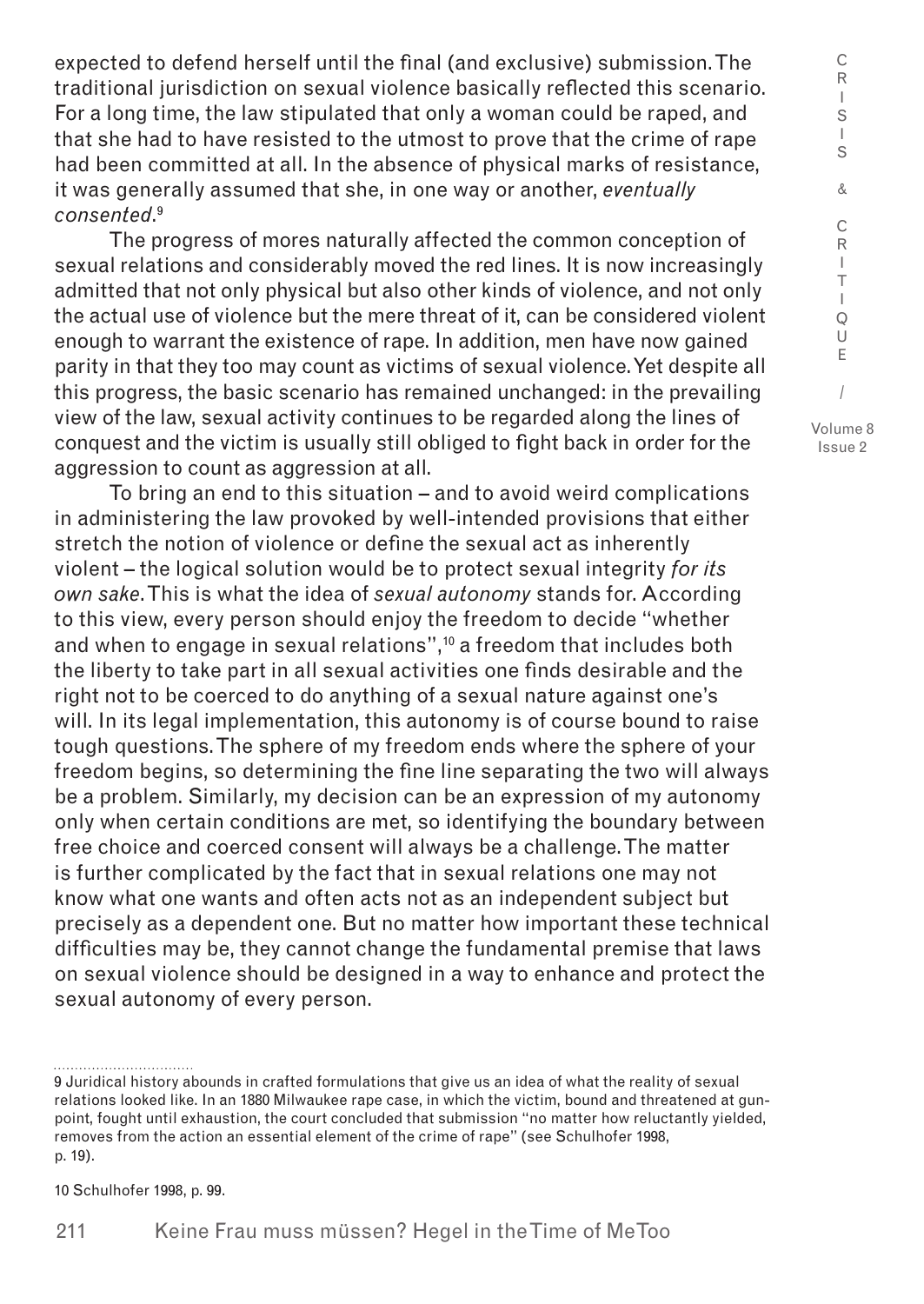expected to defend herself until the final (and exclusive) submission. The traditional jurisdiction on sexual violence basically reflected this scenario. For a long time, the law stipulated that only a woman could be raped, and that she had to have resisted to the utmost to prove that the crime of rape had been committed at all. In the absence of physical marks of resistance, it was generally assumed that she, in one way or another, *eventually consented*. 9

The progress of mores naturally affected the common conception of sexual relations and considerably moved the red lines. It is now increasingly admitted that not only physical but also other kinds of violence, and not only the actual use of violence but the mere threat of it, can be considered violent enough to warrant the existence of rape. In addition, men have now gained parity in that they too may count as victims of sexual violence. Yet despite all this progress, the basic scenario has remained unchanged: in the prevailing view of the law, sexual activity continues to be regarded along the lines of conquest and the victim is usually still obliged to fight back in order for the aggression to count as aggression at all.

To bring an end to this situation – and to avoid weird complications in administering the law provoked by well-intended provisions that either stretch the notion of violence or define the sexual act as inherently violent – the logical solution would be to protect sexual integrity *for its own sake*. This is what the idea of *sexual autonomy* stands for. According to this view, every person should enjoy the freedom to decide "whether and when to engage in sexual relations",<sup>10</sup> a freedom that includes both the liberty to take part in all sexual activities one finds desirable and the right not to be coerced to do anything of a sexual nature against one's will. In its legal implementation, this autonomy is of course bound to raise tough questions. The sphere of my freedom ends where the sphere of your freedom begins, so determining the fine line separating the two will always be a problem. Similarly, my decision can be an expression of my autonomy only when certain conditions are met, so identifying the boundary between free choice and coerced consent will always be a challenge. The matter is further complicated by the fact that in sexual relations one may not know what one wants and often acts not as an independent subject but precisely as a dependent one. But no matter how important these technical difficulties may be, they cannot change the fundamental premise that laws on sexual violence should be designed in a way to enhance and protect the sexual autonomy of every person.

10 Schulhofer 1998, p. 99.

C R I S I S & C R I T I Q U E

<sup>9</sup> Juridical history abounds in crafted formulations that give us an idea of what the reality of sexual relations looked like. In an 1880 Milwaukee rape case, in which the victim, bound and threatened at gunpoint, fought until exhaustion, the court concluded that submission "no matter how reluctantly yielded, removes from the action an essential element of the crime of rape" (see Schulhofer 1998, p. 19).

<sup>/</sup> Volume 8 Issue 2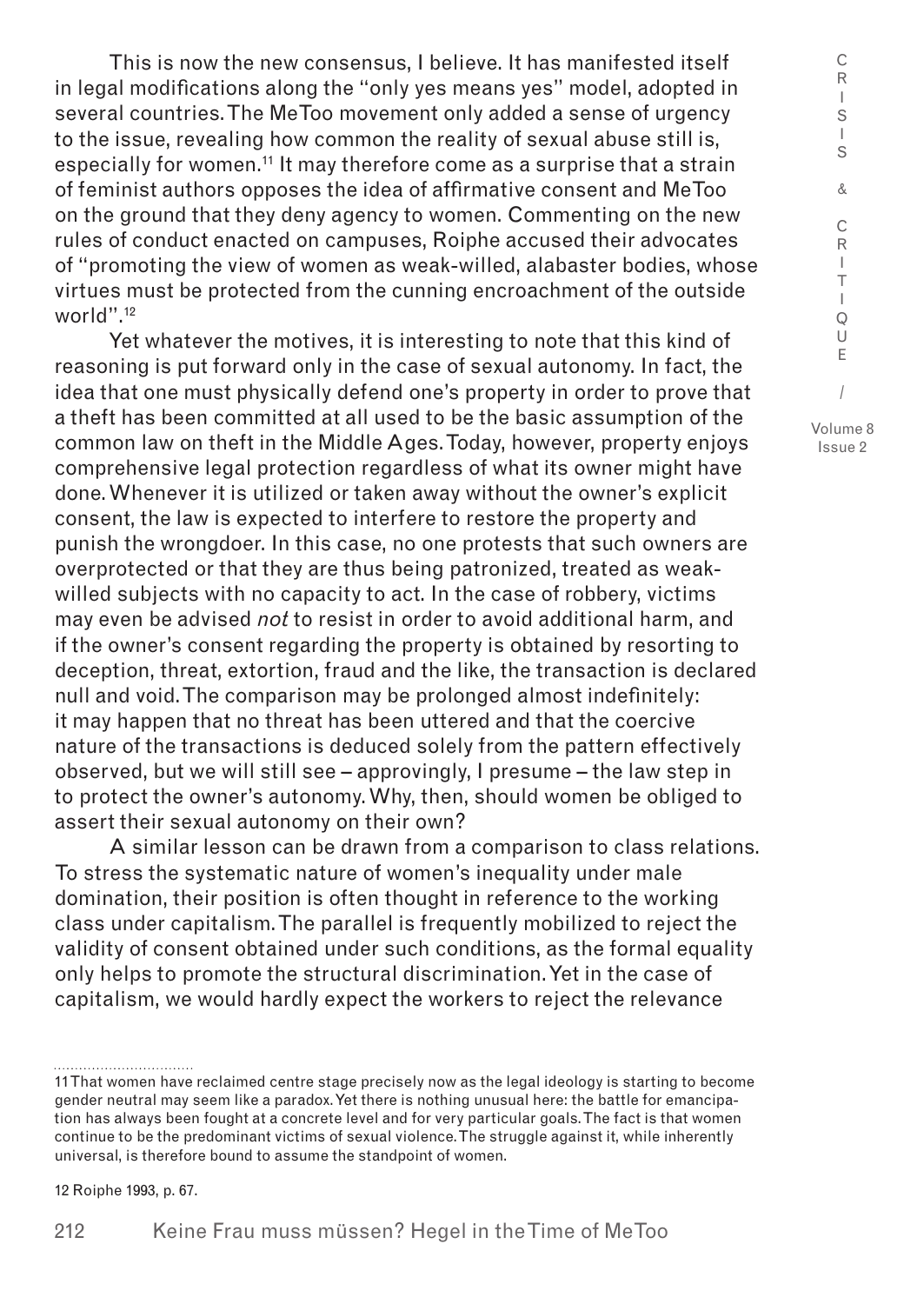This is now the new consensus, I believe. It has manifested itself in legal modifications along the "only yes means yes" model, adopted in several countries. The MeToo movement only added a sense of urgency to the issue, revealing how common the reality of sexual abuse still is, especially for women.<sup>11</sup> It may therefore come as a surprise that a strain of feminist authors opposes the idea of affirmative consent and MeToo on the ground that they deny agency to women. Commenting on the new rules of conduct enacted on campuses, Roiphe accused their advocates of "promoting the view of women as weak-willed, alabaster bodies, whose virtues must be protected from the cunning encroachment of the outside world".<sup>12</sup>

Yet whatever the motives, it is interesting to note that this kind of reasoning is put forward only in the case of sexual autonomy. In fact, the idea that one must physically defend one's property in order to prove that a theft has been committed at all used to be the basic assumption of the common law on theft in the Middle Ages. Today, however, property enjoys comprehensive legal protection regardless of what its owner might have done. Whenever it is utilized or taken away without the owner's explicit consent, the law is expected to interfere to restore the property and punish the wrongdoer. In this case, no one protests that such owners are overprotected or that they are thus being patronized, treated as weakwilled subjects with no capacity to act. In the case of robbery, victims may even be advised *not* to resist in order to avoid additional harm, and if the owner's consent regarding the property is obtained by resorting to deception, threat, extortion, fraud and the like, the transaction is declared null and void. The comparison may be prolonged almost indefinitely: it may happen that no threat has been uttered and that the coercive nature of the transactions is deduced solely from the pattern effectively observed, but we will still see – approvingly, I presume – the law step in to protect the owner's autonomy. Why, then, should women be obliged to assert their sexual autonomy on their own?

A similar lesson can be drawn from a comparison to class relations. To stress the systematic nature of women's inequality under male domination, their position is often thought in reference to the working class under capitalism. The parallel is frequently mobilized to reject the validity of consent obtained under such conditions, as the formal equality only helps to promote the structural discrimination. Yet in the case of capitalism, we would hardly expect the workers to reject the relevance

12 Roiphe 1993, p. 67.

I S & C R I T I Q U E / Volume 8

Issue 2

C R I S

<sup>11</sup> That women have reclaimed centre stage precisely now as the legal ideology is starting to become gender neutral may seem like a paradox. Yet there is nothing unusual here: the battle for emancipation has always been fought at a concrete level and for very particular goals. The fact is that women continue to be the predominant victims of sexual violence. The struggle against it, while inherently universal, is therefore bound to assume the standpoint of women.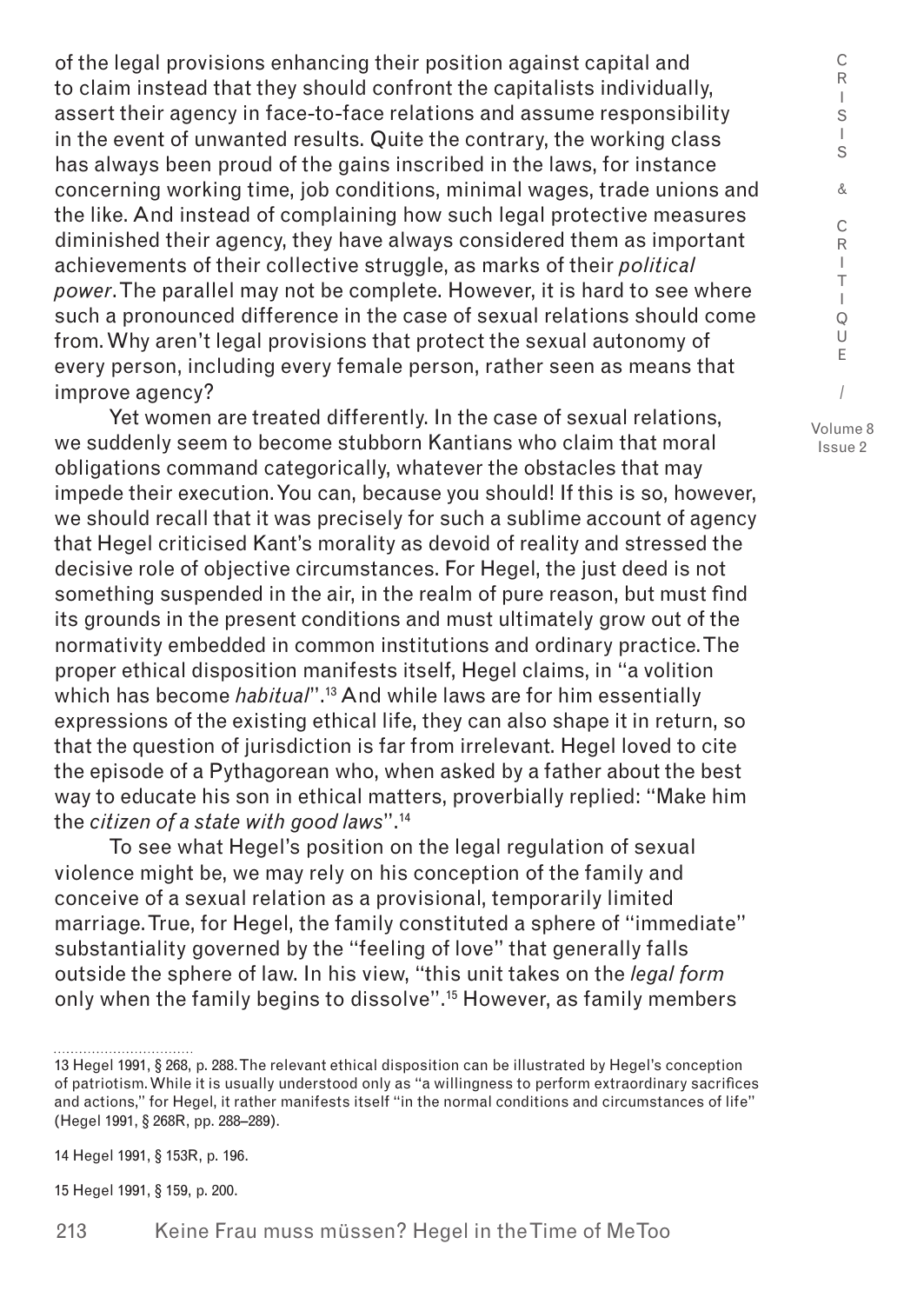of the legal provisions enhancing their position against capital and to claim instead that they should confront the capitalists individually, assert their agency in face-to-face relations and assume responsibility in the event of unwanted results. Quite the contrary, the working class has always been proud of the gains inscribed in the laws, for instance concerning working time, job conditions, minimal wages, trade unions and the like. And instead of complaining how such legal protective measures diminished their agency, they have always considered them as important achievements of their collective struggle, as marks of their *political power*. The parallel may not be complete. However, it is hard to see where such a pronounced difference in the case of sexual relations should come from. Why aren't legal provisions that protect the sexual autonomy of every person, including every female person, rather seen as means that improve agency?

Yet women are treated differently. In the case of sexual relations, we suddenly seem to become stubborn Kantians who claim that moral obligations command categorically, whatever the obstacles that may impede their execution. You can, because you should! If this is so, however, we should recall that it was precisely for such a sublime account of agency that Hegel criticised Kant's morality as devoid of reality and stressed the decisive role of objective circumstances. For Hegel, the just deed is not something suspended in the air, in the realm of pure reason, but must find its grounds in the present conditions and must ultimately grow out of the normativity embedded in common institutions and ordinary practice. The proper ethical disposition manifests itself, Hegel claims, in "a volition which has become *habitual*".13 And while laws are for him essentially expressions of the existing ethical life, they can also shape it in return, so that the question of jurisdiction is far from irrelevant. Hegel loved to cite the episode of a Pythagorean who, when asked by a father about the best way to educate his son in ethical matters, proverbially replied: "Make him the *citizen of a state with good laws*".14

To see what Hegel's position on the legal regulation of sexual violence might be, we may rely on his conception of the family and conceive of a sexual relation as a provisional, temporarily limited marriage. True, for Hegel, the family constituted a sphere of "immediate" substantiality governed by the "feeling of love" that generally falls outside the sphere of law. In his view, "this unit takes on the *legal form* only when the family begins to dissolve".<sup>15</sup> However, as family members

15 Hegel 1991, § 159, p. 200.

213 Keine Frau muss müssen? Hegel in the Time of MeToo

R I S I S & C R I T I Q U E / Volume 8

Issue 2

C

<sup>13</sup> Hegel 1991, § 268, p. 288. The relevant ethical disposition can be illustrated by Hegel's conception of patriotism. While it is usually understood only as "a willingness to perform extraordinary sacrifices and actions," for Hegel, it rather manifests itself "in the normal conditions and circumstances of life" (Hegel 1991, § 268R, pp. 288–289).

<sup>14</sup> Hegel 1991, § 153R, p. 196.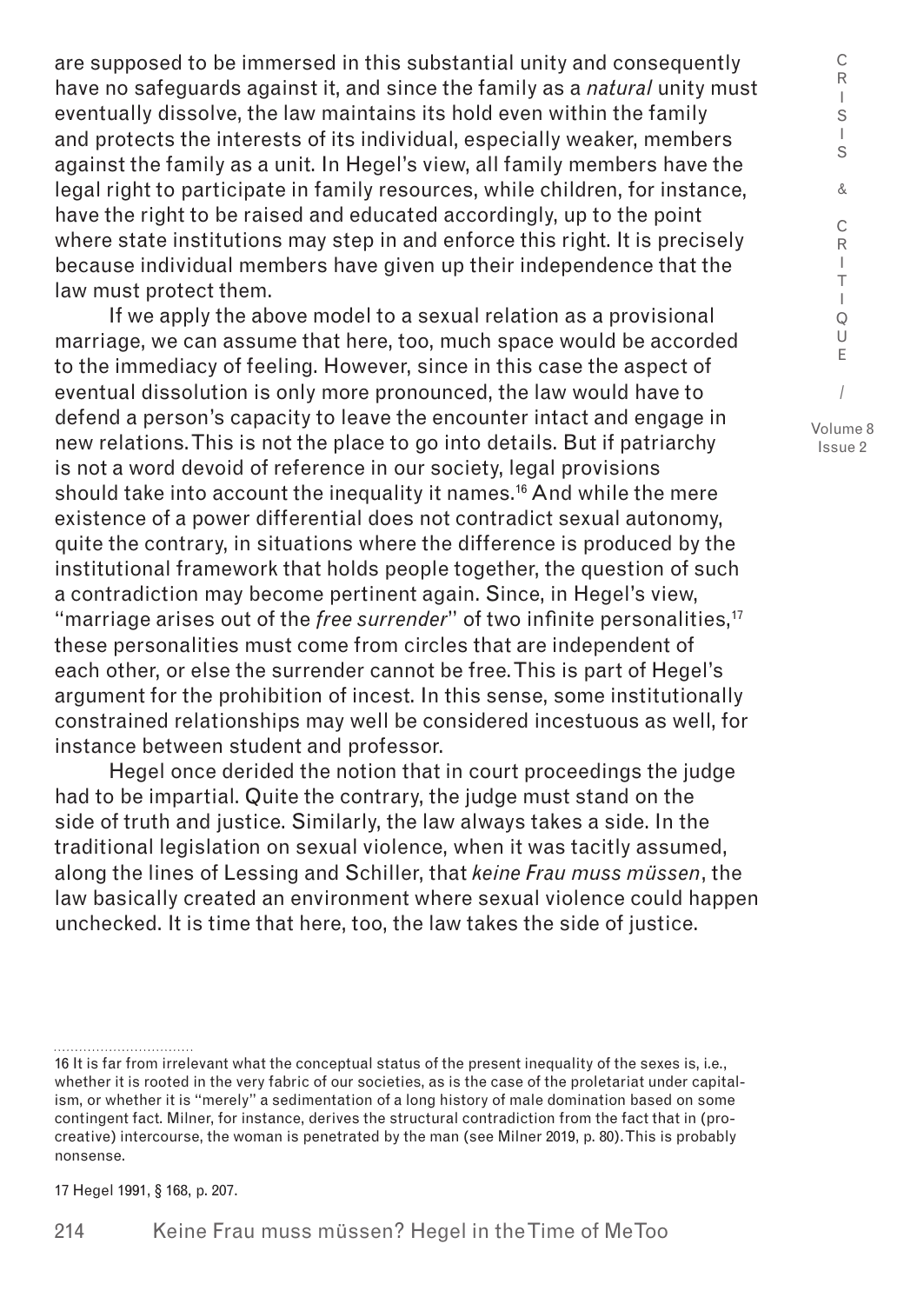are supposed to be immersed in this substantial unity and consequently have no safeguards against it, and since the family as a *natural* unity must eventually dissolve, the law maintains its hold even within the family and protects the interests of its individual, especially weaker, members against the family as a unit. In Hegel's view, all family members have the legal right to participate in family resources, while children, for instance, have the right to be raised and educated accordingly, up to the point where state institutions may step in and enforce this right. It is precisely because individual members have given up their independence that the law must protect them.

If we apply the above model to a sexual relation as a provisional marriage, we can assume that here, too, much space would be accorded to the immediacy of feeling. However, since in this case the aspect of eventual dissolution is only more pronounced, the law would have to defend a person's capacity to leave the encounter intact and engage in new relations. This is not the place to go into details. But if patriarchy is not a word devoid of reference in our society, legal provisions should take into account the inequality it names.<sup>16</sup> And while the mere existence of a power differential does not contradict sexual autonomy, quite the contrary, in situations where the difference is produced by the institutional framework that holds people together, the question of such a contradiction may become pertinent again. Since, in Hegel's view, "marriage arises out of the *free surrender*" of two infinite personalities,17 these personalities must come from circles that are independent of each other, or else the surrender cannot be free. This is part of Hegel's argument for the prohibition of incest. In this sense, some institutionally constrained relationships may well be considered incestuous as well, for instance between student and professor.

Hegel once derided the notion that in court proceedings the judge had to be impartial. Quite the contrary, the judge must stand on the side of truth and justice. Similarly, the law always takes a side. In the traditional legislation on sexual violence, when it was tacitly assumed, along the lines of Lessing and Schiller, that *keine Frau muss müssen*, the law basically created an environment where sexual violence could happen unchecked. It is time that here, too, the law takes the side of justice.

17 Hegel 1991, § 168, p. 207.

Issue 2

C R I S I

<sup>16</sup> It is far from irrelevant what the conceptual status of the present inequality of the sexes is, i.e., whether it is rooted in the very fabric of our societies, as is the case of the proletariat under capitalism, or whether it is "merely" a sedimentation of a long history of male domination based on some contingent fact. Milner, for instance, derives the structural contradiction from the fact that in (procreative) intercourse, the woman is penetrated by the man (see Milner 2019, p. 80). This is probably nonsense.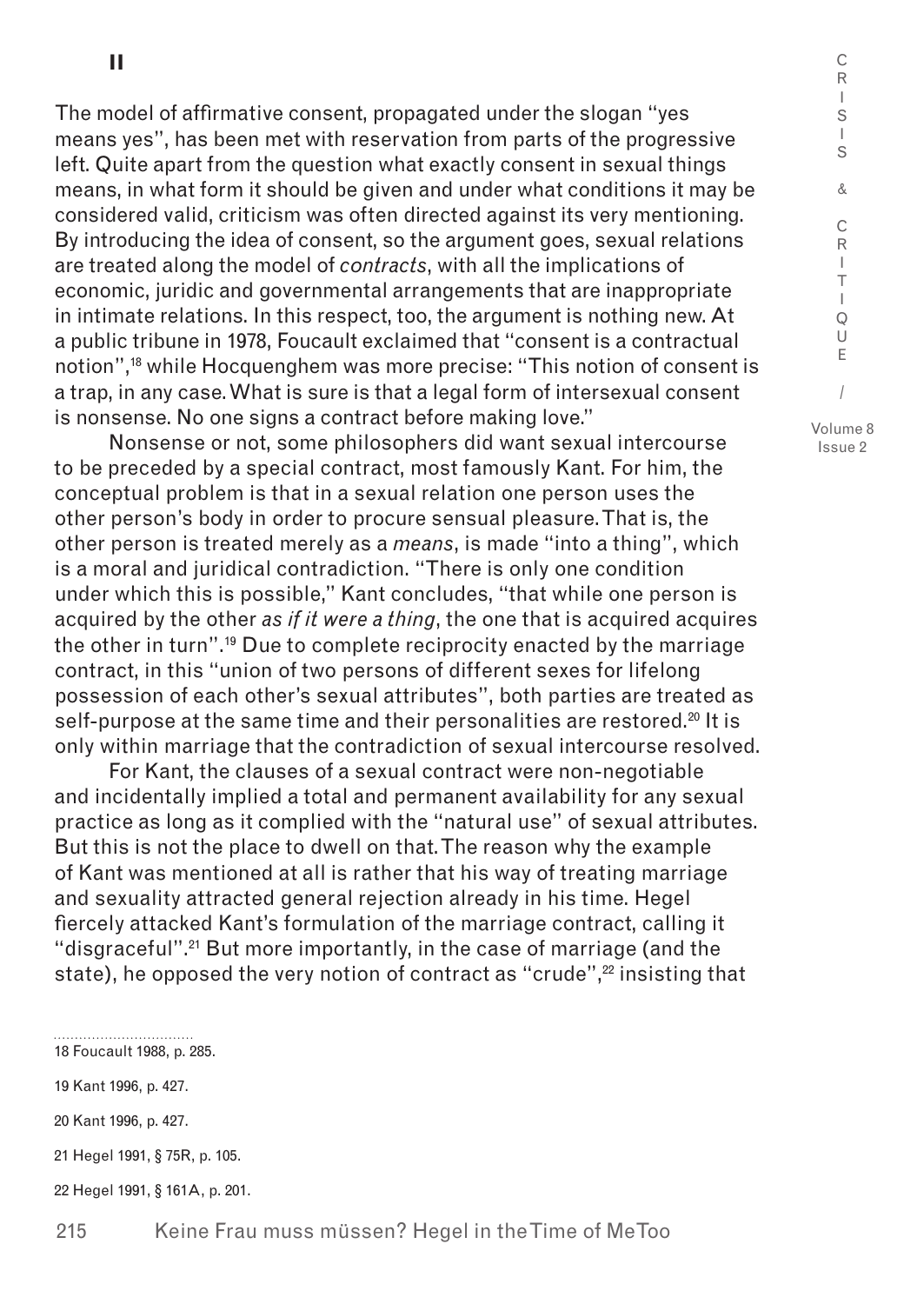**II**

The model of affirmative consent, propagated under the slogan "yes means yes", has been met with reservation from parts of the progressive left. Quite apart from the question what exactly consent in sexual things means, in what form it should be given and under what conditions it may be considered valid, criticism was often directed against its very mentioning. By introducing the idea of consent, so the argument goes, sexual relations are treated along the model of *contracts*, with all the implications of economic, juridic and governmental arrangements that are inappropriate in intimate relations. In this respect, too, the argument is nothing new. At a public tribune in 1978, Foucault exclaimed that "consent is a contractual notion",18 while Hocquenghem was more precise: "This notion of consent is a trap, in any case. What is sure is that a legal form of intersexual consent is nonsense. No one signs a contract before making love."

Nonsense or not, some philosophers did want sexual intercourse to be preceded by a special contract, most famously Kant. For him, the conceptual problem is that in a sexual relation one person uses the other person's body in order to procure sensual pleasure. That is, the other person is treated merely as a *means*, is made "into a thing", which is a moral and juridical contradiction. "There is only one condition under which this is possible," Kant concludes, "that while one person is acquired by the other *as if it were a thing*, the one that is acquired acquires the other in turn".19 Due to complete reciprocity enacted by the marriage contract, in this "union of two persons of different sexes for lifelong possession of each other's sexual attributes", both parties are treated as self-purpose at the same time and their personalities are restored.<sup>20</sup> It is only within marriage that the contradiction of sexual intercourse resolved.

For Kant, the clauses of a sexual contract were non-negotiable and incidentally implied a total and permanent availability for any sexual practice as long as it complied with the "natural use" of sexual attributes. But this is not the place to dwell on that. The reason why the example of Kant was mentioned at all is rather that his way of treating marriage and sexuality attracted general rejection already in his time. Hegel fiercely attacked Kant's formulation of the marriage contract, calling it "disgraceful".21 But more importantly, in the case of marriage (and the state), he opposed the very notion of contract as "crude",<sup>22</sup> insisting that

18 Foucault 1988, p. 285.

19 Kant 1996, p. 427.

20 Kant 1996, p. 427.

21 Hegel 1991, § 75R, p. 105.

22 Hegel 1991, § 161A, p. 201.

I S I S & C R I T I  $\Omega$ U E / Volume 8 Issue 2

C R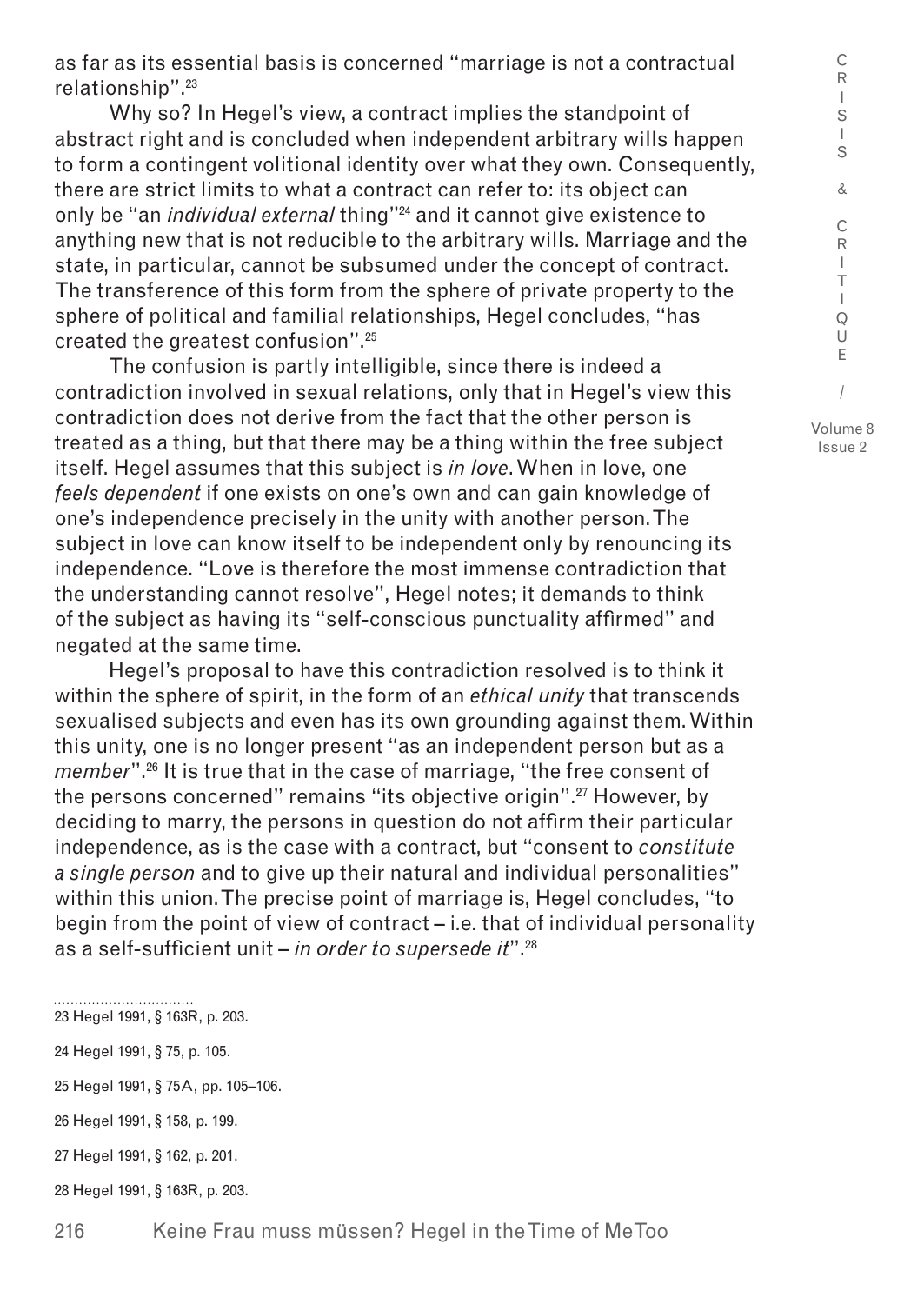as far as its essential basis is concerned "marriage is not a contractual relationship".23

Why so? In Hegel's view, a contract implies the standpoint of abstract right and is concluded when independent arbitrary wills happen to form a contingent volitional identity over what they own. Consequently, there are strict limits to what a contract can refer to: its object can only be "an *individual external* thing"24 and it cannot give existence to anything new that is not reducible to the arbitrary wills. Marriage and the state, in particular, cannot be subsumed under the concept of contract. The transference of this form from the sphere of private property to the sphere of political and familial relationships, Hegel concludes, "has created the greatest confusion".25

The confusion is partly intelligible, since there is indeed a contradiction involved in sexual relations, only that in Hegel's view this contradiction does not derive from the fact that the other person is treated as a thing, but that there may be a thing within the free subject itself. Hegel assumes that this subject is *in love*. When in love, one *feels dependent* if one exists on one's own and can gain knowledge of one's independence precisely in the unity with another person. The subject in love can know itself to be independent only by renouncing its independence. "Love is therefore the most immense contradiction that the understanding cannot resolve", Hegel notes; it demands to think of the subject as having its "self-conscious punctuality affirmed" and negated at the same time.

Hegel's proposal to have this contradiction resolved is to think it within the sphere of spirit, in the form of an *ethical unity* that transcends sexualised subjects and even has its own grounding against them. Within this unity, one is no longer present "as an independent person but as a *member*".26 It is true that in the case of marriage, "the free consent of the persons concerned" remains "its objective origin".27 However, by deciding to marry, the persons in question do not affirm their particular independence, as is the case with a contract, but "consent to *constitute a single person* and to give up their natural and individual personalities" within this union. The precise point of marriage is, Hegel concludes, "to begin from the point of view of contract – i.e. that of individual personality as a self-sufficient unit – *in order to supersede it*".28

23 Hegel 1991, § 163R, p. 203.

24 Hegel 1991, § 75, p. 105.

25 Hegel 1991, § 75A, pp. 105–106.

26 Hegel 1991, § 158, p. 199.

27 Hegel 1991, § 162, p. 201.

28 Hegel 1991, § 163R, p. 203.

R  $\mathbf{I}$ S I S & C R I T I Q U E / Volume 8 Issue 2

C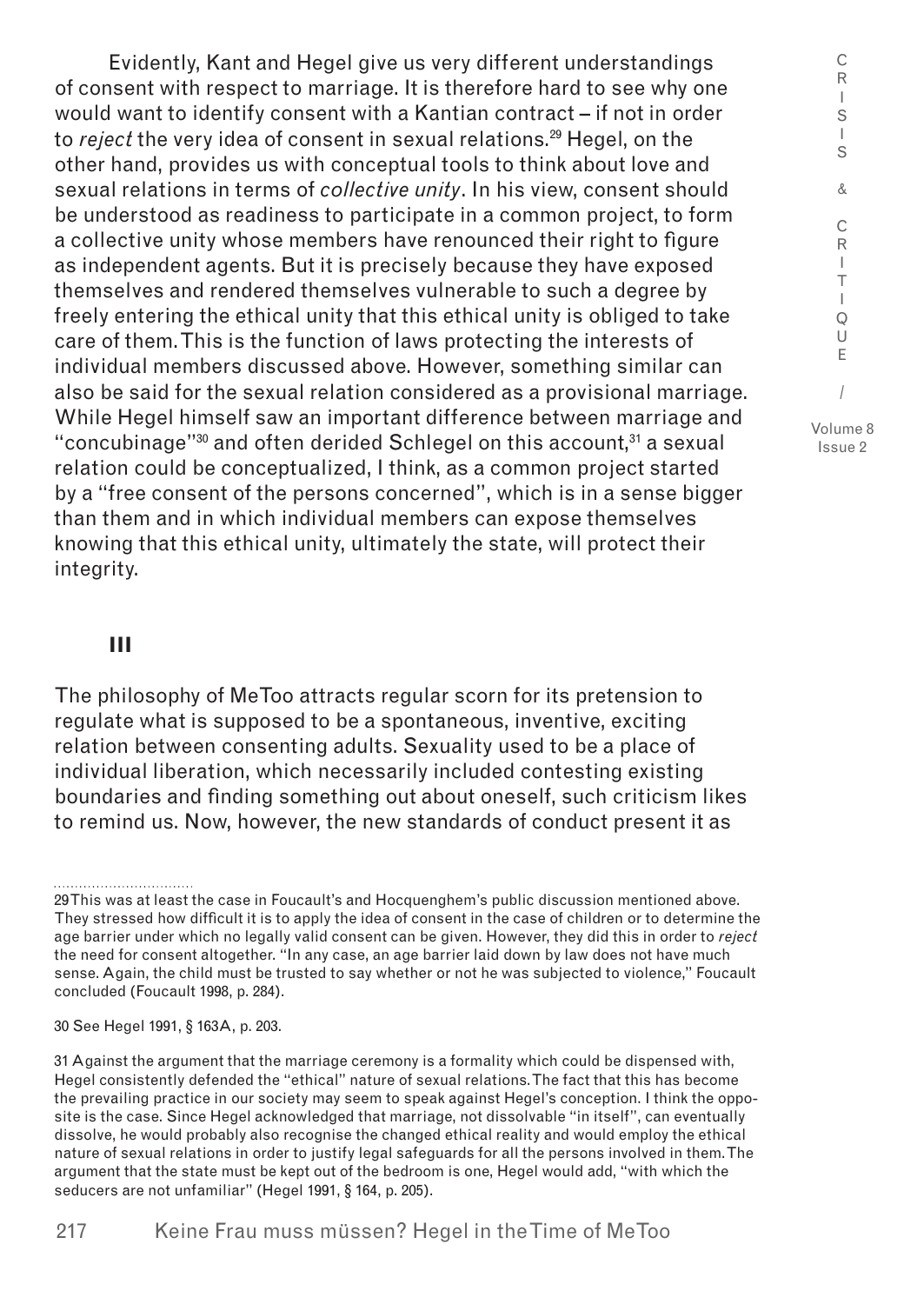Evidently, Kant and Hegel give us very different understandings of consent with respect to marriage. It is therefore hard to see why one would want to identify consent with a Kantian contract – if not in order to *reject* the very idea of consent in sexual relations.29 Hegel, on the other hand, provides us with conceptual tools to think about love and sexual relations in terms of *collective unity*. In his view, consent should be understood as readiness to participate in a common project, to form a collective unity whose members have renounced their right to figure as independent agents. But it is precisely because they have exposed themselves and rendered themselves vulnerable to such a degree by freely entering the ethical unity that this ethical unity is obliged to take care of them. This is the function of laws protecting the interests of individual members discussed above. However, something similar can also be said for the sexual relation considered as a provisional marriage. While Hegel himself saw an important difference between marriage and "concubinage"<sup>30</sup> and often derided Schlegel on this account.<sup>31</sup> a sexual relation could be conceptualized, I think, as a common project started by a "free consent of the persons concerned", which is in a sense bigger than them and in which individual members can expose themselves knowing that this ethical unity, ultimately the state, will protect their integrity.

**III**

The philosophy of MeToo attracts regular scorn for its pretension to regulate what is supposed to be a spontaneous, inventive, exciting relation between consenting adults. Sexuality used to be a place of individual liberation, which necessarily included contesting existing boundaries and finding something out about oneself, such criticism likes to remind us. Now, however, the new standards of conduct present it as

30 See Hegel 1991, § 163A, p. 203.

C R I S I S &

<sup>29</sup> This was at least the case in Foucault's and Hocquenghem's public discussion mentioned above. They stressed how difficult it is to apply the idea of consent in the case of children or to determine the age barrier under which no legally valid consent can be given. However, they did this in order to *reject* the need for consent altogether. "In any case, an age barrier laid down by law does not have much sense. Again, the child must be trusted to say whether or not he was subjected to violence," Foucault concluded (Foucault 1998, p. 284).

<sup>31</sup> Against the argument that the marriage ceremony is a formality which could be dispensed with, Hegel consistently defended the "ethical" nature of sexual relations. The fact that this has become the prevailing practice in our society may seem to speak against Hegel's conception. I think the opposite is the case. Since Hegel acknowledged that marriage, not dissolvable "in itself", can eventually dissolve, he would probably also recognise the changed ethical reality and would employ the ethical nature of sexual relations in order to justify legal safeguards for all the persons involved in them. The argument that the state must be kept out of the bedroom is one, Hegel would add, "with which the seducers are not unfamiliar" (Hegel 1991, § 164, p. 205).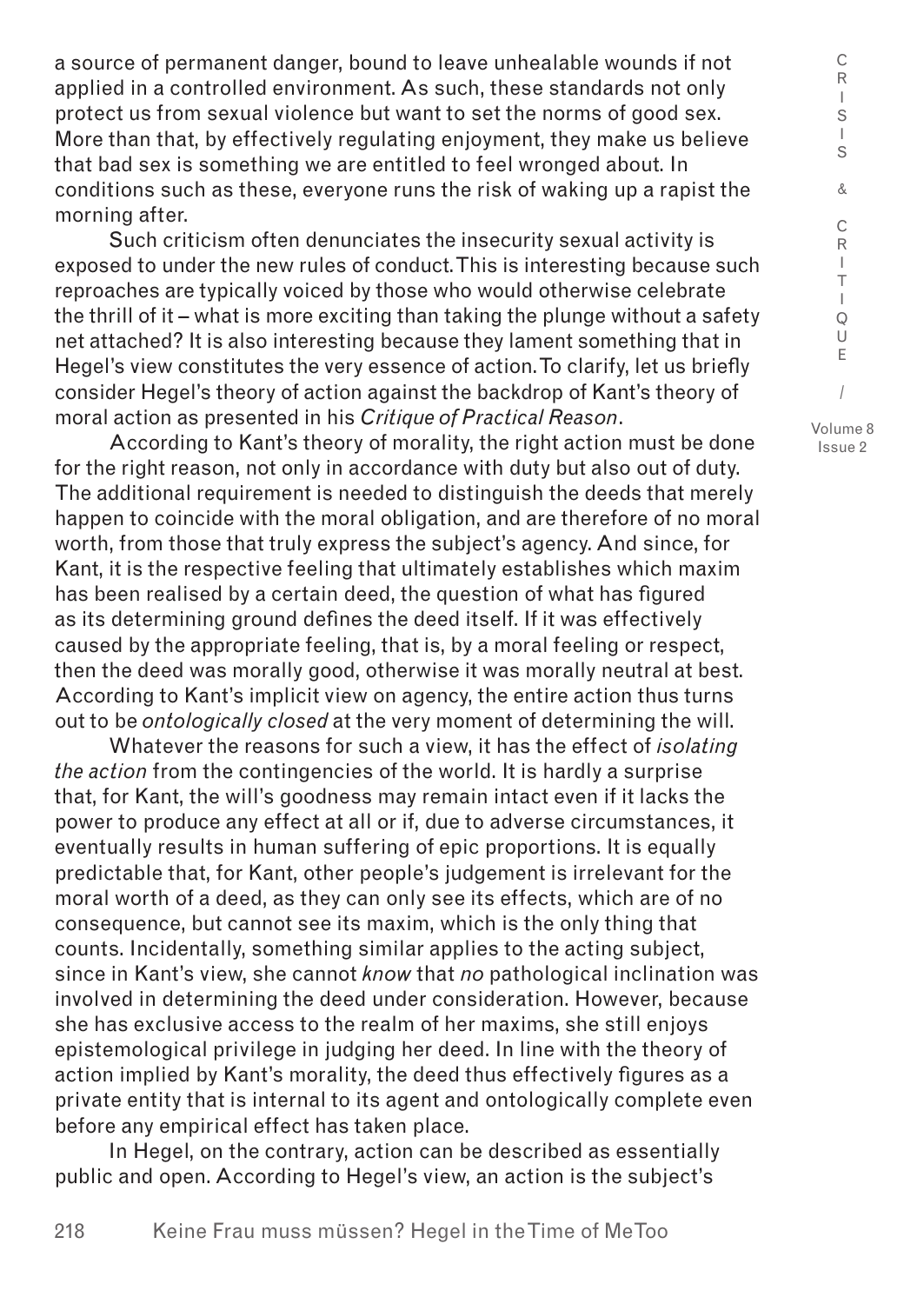a source of permanent danger, bound to leave unhealable wounds if not applied in a controlled environment. As such, these standards not only protect us from sexual violence but want to set the norms of good sex. More than that, by effectively regulating enjoyment, they make us believe that bad sex is something we are entitled to feel wronged about. In conditions such as these, everyone runs the risk of waking up a rapist the morning after.

Such criticism often denunciates the insecurity sexual activity is exposed to under the new rules of conduct. This is interesting because such reproaches are typically voiced by those who would otherwise celebrate the thrill of it – what is more exciting than taking the plunge without a safety net attached? It is also interesting because they lament something that in Hegel's view constitutes the very essence of action. To clarify, let us briefly consider Hegel's theory of action against the backdrop of Kant's theory of moral action as presented in his *Critique of Practical Reason*.

According to Kant's theory of morality, the right action must be done for the right reason, not only in accordance with duty but also out of duty. The additional requirement is needed to distinguish the deeds that merely happen to coincide with the moral obligation, and are therefore of no moral worth, from those that truly express the subject's agency. And since, for Kant, it is the respective feeling that ultimately establishes which maxim has been realised by a certain deed, the question of what has figured as its determining ground defines the deed itself. If it was effectively caused by the appropriate feeling, that is, by a moral feeling or respect, then the deed was morally good, otherwise it was morally neutral at best. According to Kant's implicit view on agency, the entire action thus turns out to be *ontologically closed* at the very moment of determining the will.

Whatever the reasons for such a view, it has the effect of *isolating the action* from the contingencies of the world. It is hardly a surprise that, for Kant, the will's goodness may remain intact even if it lacks the power to produce any effect at all or if, due to adverse circumstances, it eventually results in human suffering of epic proportions. It is equally predictable that, for Kant, other people's judgement is irrelevant for the moral worth of a deed, as they can only see its effects, which are of no consequence, but cannot see its maxim, which is the only thing that counts. Incidentally, something similar applies to the acting subject, since in Kant's view, she cannot *know* that *no* pathological inclination was involved in determining the deed under consideration. However, because she has exclusive access to the realm of her maxims, she still enjoys epistemological privilege in judging her deed. In line with the theory of action implied by Kant's morality, the deed thus effectively figures as a private entity that is internal to its agent and ontologically complete even before any empirical effect has taken place.

In Hegel, on the contrary, action can be described as essentially public and open. According to Hegel's view, an action is the subject's

218

I Q U E /

C R  $\mathbf{I}$ S I S & C R I T

Volume 8 Issue 2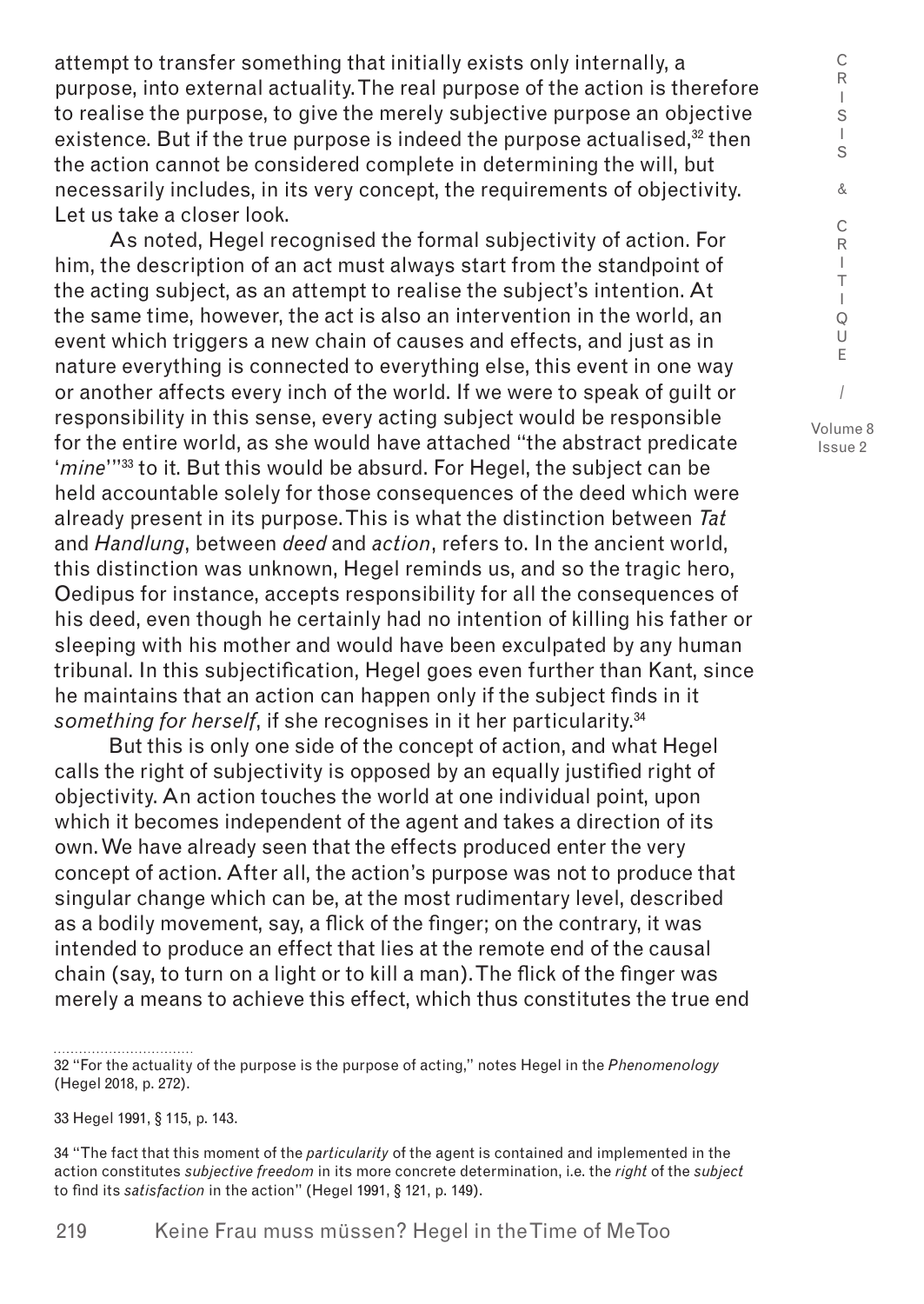attempt to transfer something that initially exists only internally, a purpose, into external actuality. The real purpose of the action is therefore to realise the purpose, to give the merely subjective purpose an objective existence. But if the true purpose is indeed the purpose actualised,<sup>32</sup> then the action cannot be considered complete in determining the will, but necessarily includes, in its very concept, the requirements of objectivity. Let us take a closer look.

As noted, Hegel recognised the formal subjectivity of action. For him, the description of an act must always start from the standpoint of the acting subject, as an attempt to realise the subject's intention. At the same time, however, the act is also an intervention in the world, an event which triggers a new chain of causes and effects, and just as in nature everything is connected to everything else, this event in one way or another affects every inch of the world. If we were to speak of guilt or responsibility in this sense, every acting subject would be responsible for the entire world, as she would have attached "the abstract predicate '*mine*'"33 to it. But this would be absurd. For Hegel, the subject can be held accountable solely for those consequences of the deed which were already present in its purpose. This is what the distinction between *Tat* and *Handlung*, between *deed* and *action*, refers to. In the ancient world, this distinction was unknown, Hegel reminds us, and so the tragic hero, Oedipus for instance, accepts responsibility for all the consequences of his deed, even though he certainly had no intention of killing his father or sleeping with his mother and would have been exculpated by any human tribunal. In this subjectification, Hegel goes even further than Kant, since he maintains that an action can happen only if the subject finds in it something for herself, if she recognises in it her particularity.<sup>34</sup>

But this is only one side of the concept of action, and what Hegel calls the right of subjectivity is opposed by an equally justified right of objectivity. An action touches the world at one individual point, upon which it becomes independent of the agent and takes a direction of its own. We have already seen that the effects produced enter the very concept of action. After all, the action's purpose was not to produce that singular change which can be, at the most rudimentary level, described as a bodily movement, say, a flick of the finger; on the contrary, it was intended to produce an effect that lies at the remote end of the causal chain (say, to turn on a light or to kill a man). The flick of the finger was merely a means to achieve this effect, which thus constitutes the true end

32 "For the actuality of the purpose is the purpose of acting," notes Hegel in the *Phenomenology* (Hegel 2018, p. 272).

33 Hegel 1991, § 115, p. 143.

34 "The fact that this moment of the *particularity* of the agent is contained and implemented in the action constitutes *subjective freedom* in its more concrete determination, i.e. the *right* of the *subject* to find its *satisfaction* in the action" (Hegel 1991, § 121, p. 149).

C R I S I S

Issue 2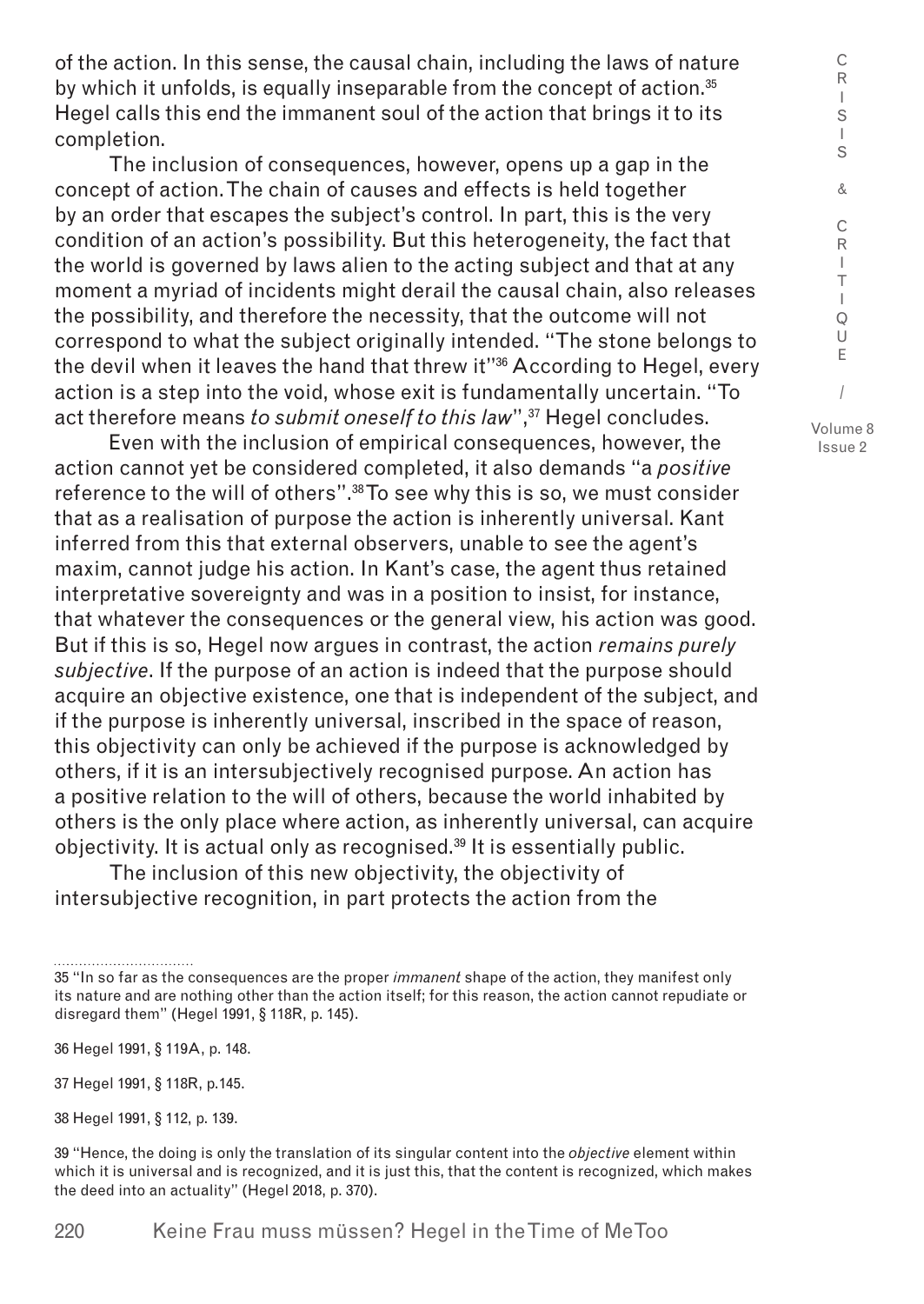of the action. In this sense, the causal chain, including the laws of nature by which it unfolds, is equally inseparable from the concept of action. $35$ Hegel calls this end the immanent soul of the action that brings it to its completion.

The inclusion of consequences, however, opens up a gap in the concept of action. The chain of causes and effects is held together by an order that escapes the subject's control. In part, this is the very condition of an action's possibility. But this heterogeneity, the fact that the world is governed by laws alien to the acting subject and that at any moment a myriad of incidents might derail the causal chain, also releases the possibility, and therefore the necessity, that the outcome will not correspond to what the subject originally intended. "The stone belongs to the devil when it leaves the hand that threw it"36 According to Hegel, every action is a step into the void, whose exit is fundamentally uncertain. "To act therefore means *to submit oneself to this law*",<sup>37</sup> Hegel concludes.

Even with the inclusion of empirical consequences, however, the action cannot yet be considered completed, it also demands "a *positive* reference to the will of others".<sup>38</sup> To see why this is so, we must consider that as a realisation of purpose the action is inherently universal. Kant inferred from this that external observers, unable to see the agent's maxim, cannot judge his action. In Kant's case, the agent thus retained interpretative sovereignty and was in a position to insist, for instance, that whatever the consequences or the general view, his action was good. But if this is so, Hegel now argues in contrast, the action *remains purely subjective*. If the purpose of an action is indeed that the purpose should acquire an objective existence, one that is independent of the subject, and if the purpose is inherently universal, inscribed in the space of reason, this objectivity can only be achieved if the purpose is acknowledged by others, if it is an intersubjectively recognised purpose. An action has a positive relation to the will of others, because the world inhabited by others is the only place where action, as inherently universal, can acquire objectivity. It is actual only as recognised.<sup>39</sup> It is essentially public.

The inclusion of this new objectivity, the objectivity of intersubjective recognition, in part protects the action from the C R I

<sup>35 &</sup>quot;In so far as the consequences are the proper *immanent* shape of the action, they manifest only its nature and are nothing other than the action itself; for this reason, the action cannot repudiate or disregard them" (Hegel 1991, § 118R, p. 145).

<sup>36</sup> Hegel 1991, § 119A, p. 148.

<sup>37</sup> Hegel 1991, § 118R, p.145.

<sup>38</sup> Hegel 1991, § 112, p. 139.

<sup>39 &</sup>quot;Hence, the doing is only the translation of its singular content into the *objective* element within which it is universal and is recognized, and it is just this, that the content is recognized, which makes the deed into an actuality" (Hegel 2018, p. 370).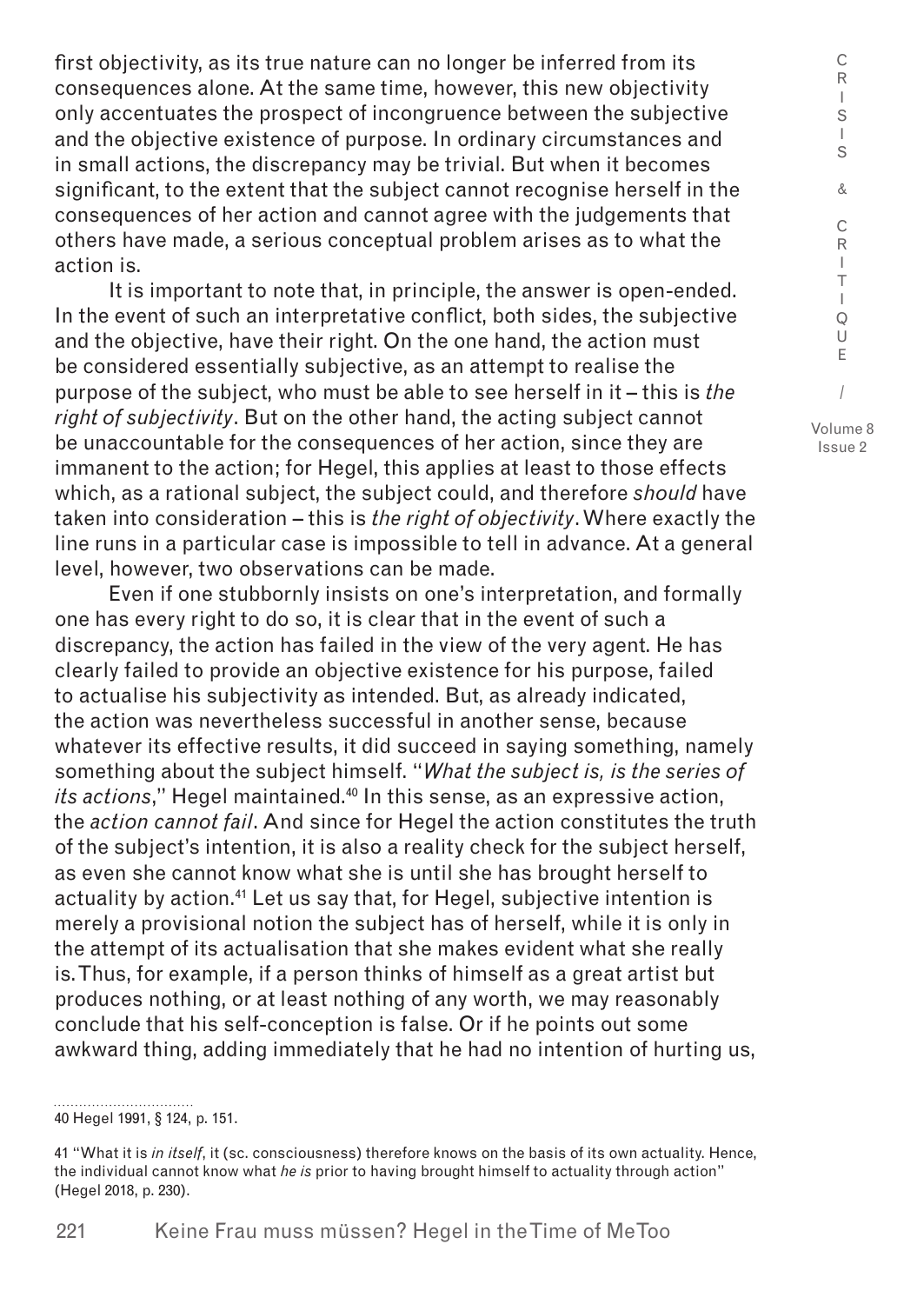first objectivity, as its true nature can no longer be inferred from its consequences alone. At the same time, however, this new objectivity only accentuates the prospect of incongruence between the subjective and the objective existence of purpose. In ordinary circumstances and in small actions, the discrepancy may be trivial. But when it becomes significant, to the extent that the subject cannot recognise herself in the consequences of her action and cannot agree with the judgements that others have made, a serious conceptual problem arises as to what the action is.

It is important to note that, in principle, the answer is open-ended. In the event of such an interpretative conflict, both sides, the subjective and the objective, have their right. On the one hand, the action must be considered essentially subjective, as an attempt to realise the purpose of the subject, who must be able to see herself in it – this is *the right of subjectivity*. But on the other hand, the acting subject cannot be unaccountable for the consequences of her action, since they are immanent to the action; for Hegel, this applies at least to those effects which, as a rational subject, the subject could, and therefore *should* have taken into consideration – this is *the right of objectivity*. Where exactly the line runs in a particular case is impossible to tell in advance. At a general level, however, two observations can be made.

Even if one stubbornly insists on one's interpretation, and formally one has every right to do so, it is clear that in the event of such a discrepancy, the action has failed in the view of the very agent. He has clearly failed to provide an objective existence for his purpose, failed to actualise his subjectivity as intended. But, as already indicated, the action was nevertheless successful in another sense, because whatever its effective results, it did succeed in saying something, namely something about the subject himself. "*What the subject is, is the series of its actions*," Hegel maintained.<sup>40</sup> In this sense, as an expressive action, the *action cannot fail*. And since for Hegel the action constitutes the truth of the subject's intention, it is also a reality check for the subject herself, as even she cannot know what she is until she has brought herself to actuality by action.<sup>41</sup> Let us say that, for Hegel, subjective intention is merely a provisional notion the subject has of herself, while it is only in the attempt of its actualisation that she makes evident what she really is. Thus, for example, if a person thinks of himself as a great artist but produces nothing, or at least nothing of any worth, we may reasonably conclude that his self-conception is false. Or if he points out some awkward thing, adding immediately that he had no intention of hurting us,

40 Hegel 1991, § 124, p. 151. Issue 2

C R I

<sup>41 &</sup>quot;What it is *in itself*, it (sc. consciousness) therefore knows on the basis of its own actuality. Hence, the individual cannot know what *he is* prior to having brought himself to actuality through action" (Hegel 2018, p. 230).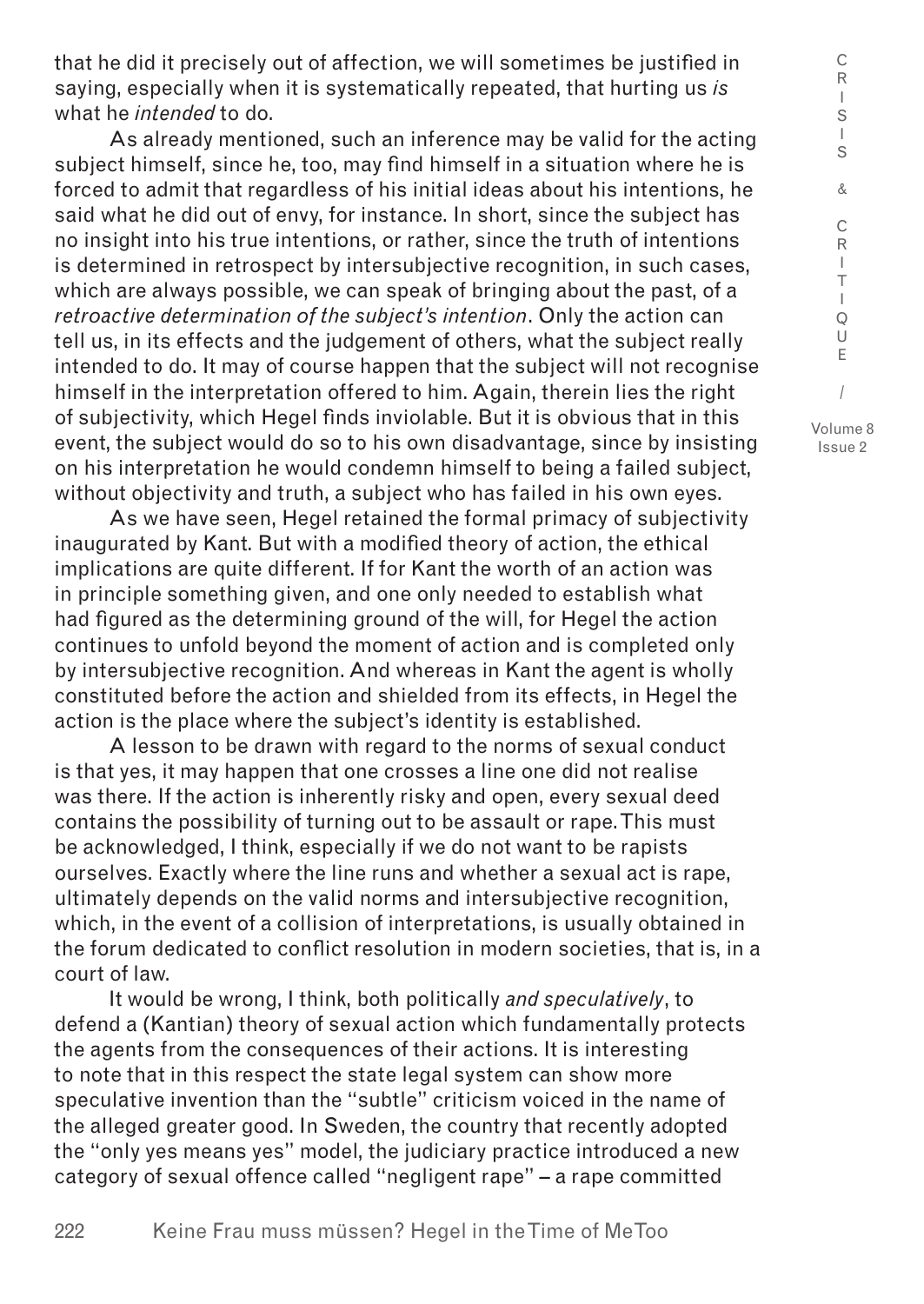that he did it precisely out of affection, we will sometimes be justified in saying, especially when it is systematically repeated, that hurting us *is* what he *intended* to do.

As already mentioned, such an inference may be valid for the acting subject himself, since he, too, may find himself in a situation where he is forced to admit that regardless of his initial ideas about his intentions, he said what he did out of envy, for instance. In short, since the subject has no insight into his true intentions, or rather, since the truth of intentions is determined in retrospect by intersubjective recognition, in such cases, which are always possible, we can speak of bringing about the past, of a *retroactive determination of the subject's intention*. Only the action can tell us, in its effects and the judgement of others, what the subject really intended to do. It may of course happen that the subject will not recognise himself in the interpretation offered to him. Again, therein lies the right of subjectivity, which Hegel finds inviolable. But it is obvious that in this event, the subject would do so to his own disadvantage, since by insisting on his interpretation he would condemn himself to being a failed subject, without objectivity and truth, a subject who has failed in his own eyes.

As we have seen, Hegel retained the formal primacy of subjectivity inaugurated by Kant. But with a modified theory of action, the ethical implications are quite different. If for Kant the worth of an action was in principle something given, and one only needed to establish what had figured as the determining ground of the will, for Hegel the action continues to unfold beyond the moment of action and is completed only by intersubjective recognition. And whereas in Kant the agent is wholly constituted before the action and shielded from its effects, in Hegel the action is the place where the subject's identity is established.

A lesson to be drawn with regard to the norms of sexual conduct is that yes, it may happen that one crosses a line one did not realise was there. If the action is inherently risky and open, every sexual deed contains the possibility of turning out to be assault or rape. This must be acknowledged, I think, especially if we do not want to be rapists ourselves. Exactly where the line runs and whether a sexual act is rape, ultimately depends on the valid norms and intersubjective recognition, which, in the event of a collision of interpretations, is usually obtained in the forum dedicated to conflict resolution in modern societies, that is, in a court of law.

It would be wrong, I think, both politically *and speculatively*, to defend a (Kantian) theory of sexual action which fundamentally protects the agents from the consequences of their actions. It is interesting to note that in this respect the state legal system can show more speculative invention than the "subtle" criticism voiced in the name of the alleged greater good. In Sweden, the country that recently adopted the "only yes means yes" model, the judiciary practice introduced a new category of sexual offence called "negligent rape" – a rape committed

C R  $\mathbf{I}$ S I S & C R I T I Q U E / Volume 8 Issue 2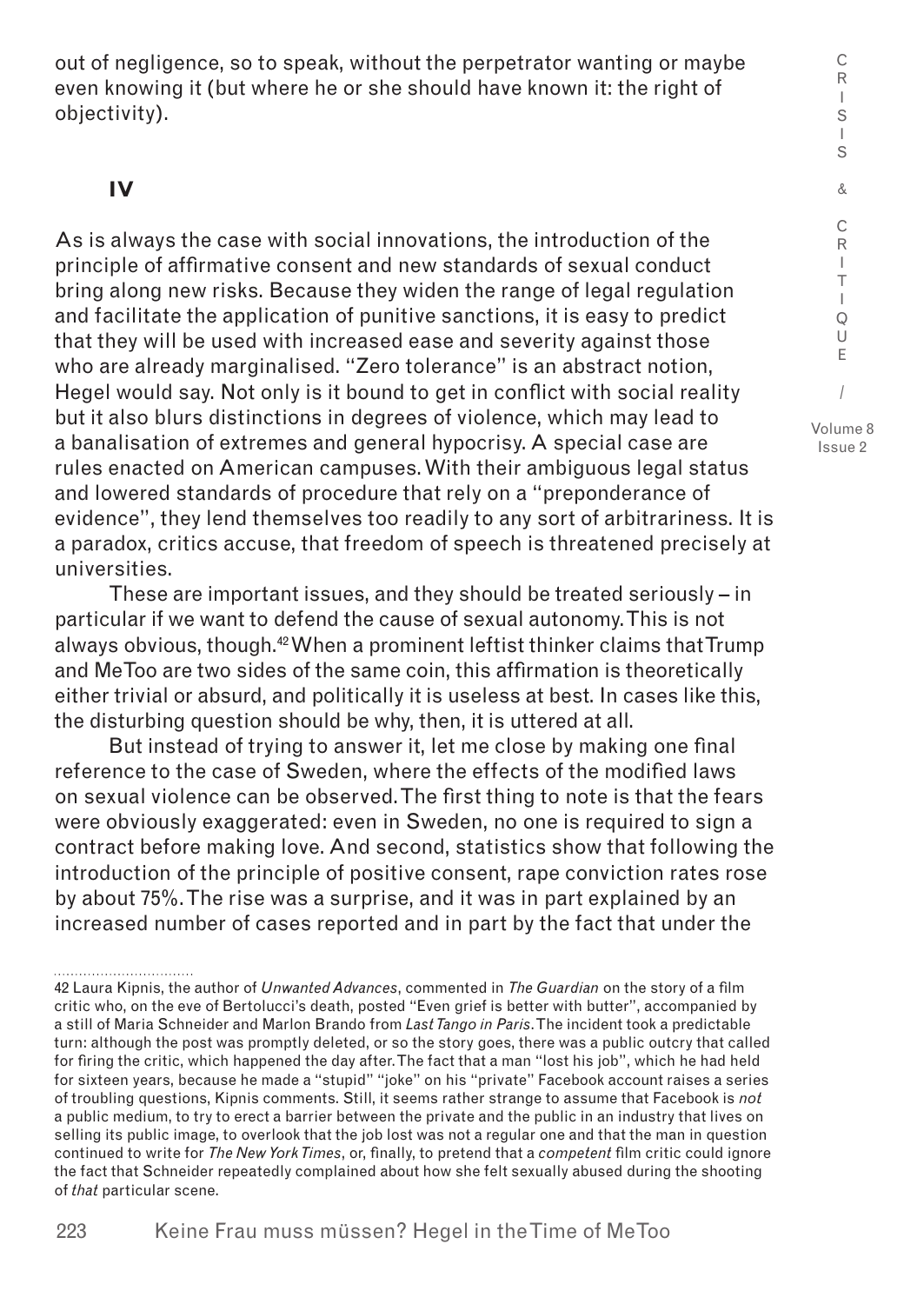out of negligence, so to speak, without the perpetrator wanting or maybe even knowing it (but where he or she should have known it: the right of objectivity).

## **IV**

As is always the case with social innovations, the introduction of the principle of affirmative consent and new standards of sexual conduct bring along new risks. Because they widen the range of legal regulation and facilitate the application of punitive sanctions, it is easy to predict that they will be used with increased ease and severity against those who are already marginalised. "Zero tolerance" is an abstract notion, Hegel would say. Not only is it bound to get in conflict with social reality but it also blurs distinctions in degrees of violence, which may lead to a banalisation of extremes and general hypocrisy. A special case are rules enacted on American campuses. With their ambiguous legal status and lowered standards of procedure that rely on a "preponderance of evidence", they lend themselves too readily to any sort of arbitrariness. It is a paradox, critics accuse, that freedom of speech is threatened precisely at universities.

These are important issues, and they should be treated seriously – in particular if we want to defend the cause of sexual autonomy. This is not always obvious, though.<sup>42</sup> When a prominent leftist thinker claims that Trump and MeToo are two sides of the same coin, this affirmation is theoretically either trivial or absurd, and politically it is useless at best. In cases like this, the disturbing question should be why, then, it is uttered at all.

But instead of trying to answer it, let me close by making one final reference to the case of Sweden, where the effects of the modified laws on sexual violence can be observed. The first thing to note is that the fears were obviously exaggerated: even in Sweden, no one is required to sign a contract before making love. And second, statistics show that following the introduction of the principle of positive consent, rape conviction rates rose by about 75%. The rise was a surprise, and it was in part explained by an increased number of cases reported and in part by the fact that under the

C

<sup>42</sup> Laura Kipnis, the author of *Unwanted Advances*, commented in *The Guardian* on the story of a film critic who, on the eve of Bertolucci's death, posted "Even grief is better with butter", accompanied by a still of Maria Schneider and Marlon Brando from *Last Tango in Paris*. The incident took a predictable turn: although the post was promptly deleted, or so the story goes, there was a public outcry that called for firing the critic, which happened the day after. The fact that a man "lost his job", which he had held for sixteen years, because he made a "stupid" "joke" on his "private" Facebook account raises a series of troubling questions, Kipnis comments. Still, it seems rather strange to assume that Facebook is *not* a public medium, to try to erect a barrier between the private and the public in an industry that lives on selling its public image, to overlook that the job lost was not a regular one and that the man in question continued to write for *The New York Times*, or, finally, to pretend that a *competent* film critic could ignore the fact that Schneider repeatedly complained about how she felt sexually abused during the shooting of *that* particular scene.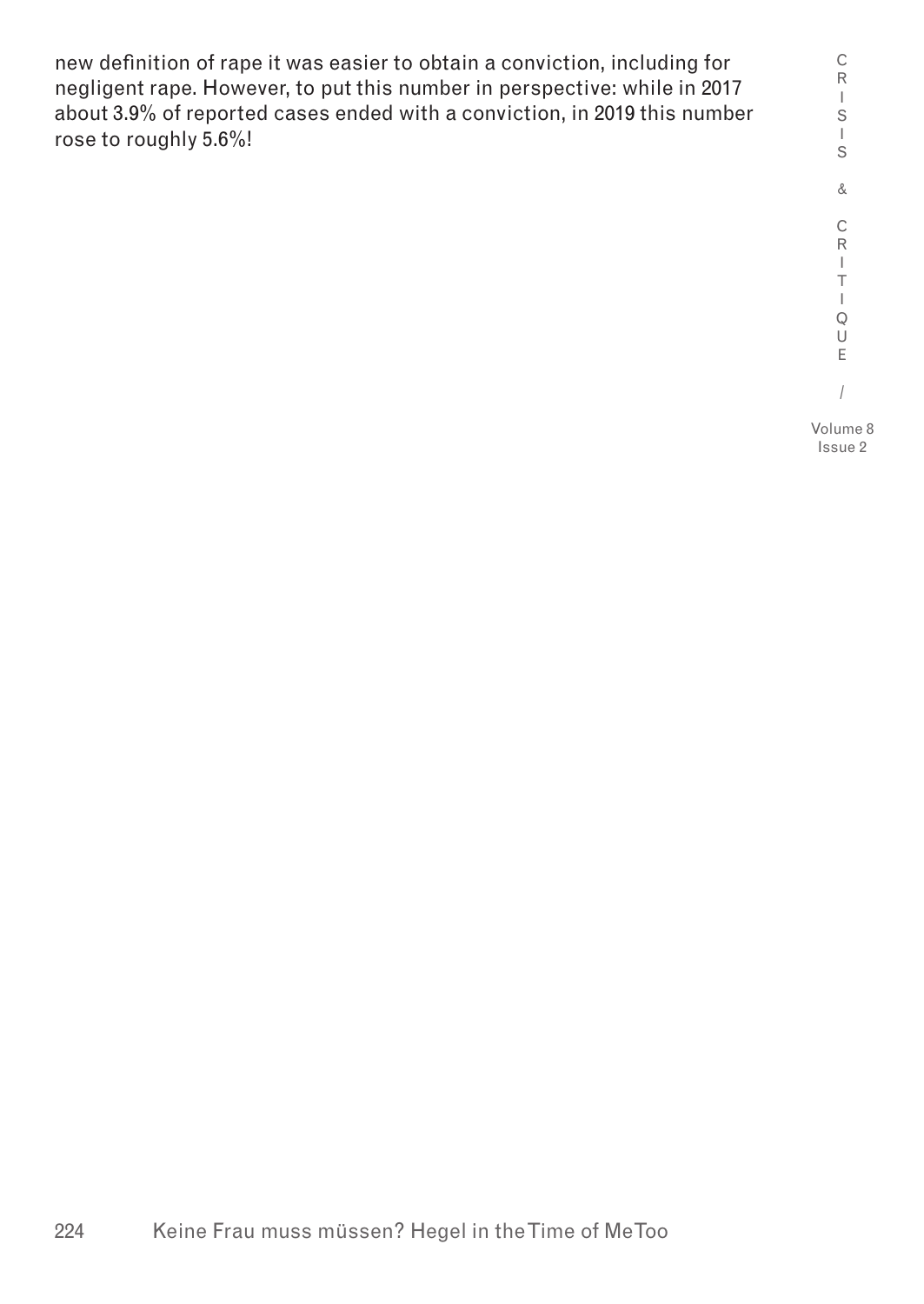new definition of rape it was easier to obtain a conviction, including for negligent rape. However, to put this number in perspective: while in 2017 about 3.9% of reported cases ended with a conviction, in 2019 this number rose to roughly 5.6%!

C R I S I S & C R I T  $\mathbf{I}$ Q U E / Volume 8

Issue 2

224 Keine Frau muss müssen? Hegel in the Time of MeToo